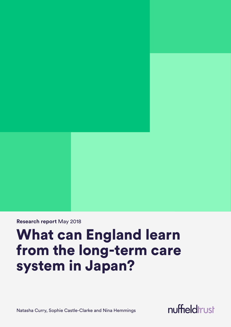**Research report** May 2018

# What can England learn from the long-term care system in Japan?

Natasha Curry, Sophie Castle-Clarke and Nina Hemmings

nuffieldtrust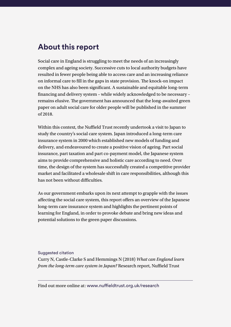### **About this report**

Social care in England is struggling to meet the needs of an increasingly complex and ageing society. Successive cuts to local authority budgets have resulted in fewer people being able to access care and an increasing reliance on informal care to fill in the gaps in state provision. The knock-on impact on the NHS has also been significant. A sustainable and equitable long-term financing and delivery system – while widely acknowledged to be necessary – remains elusive. The government has announced that the long-awaited green paper on adult social care for older people will be published in the summer of 2018.

Within this context, the Nuffield Trust recently undertook a visit to Japan to study the country's social care system. Japan introduced a long-term care insurance system in 2000 which established new models of funding and delivery, and endeavoured to create a positive vision of ageing. Part social insurance, part taxation and part co-payment model, the Japanese system aims to provide comprehensive and holistic care according to need. Over time, the design of the system has successfully created a competitive provider market and facilitated a wholesale shift in care responsibilities, although this has not been without difficulties.

As our government embarks upon its next attempt to grapple with the issues affecting the social care system, this report offers an overview of the Japanese long-term care insurance system and highlights the pertinent points of learning for England, in order to provoke debate and bring new ideas and potential solutions to the green paper discussions.

Suggested citation Curry N, Castle-Clarke S and Hemmings N (2018) *What can England learn from the long-term care system in Japan?* Research report, Nuffield Trust

Find out more online at: [www.nuffieldtrust.org.uk](www.nuffieldtrust.org.uk/research)/research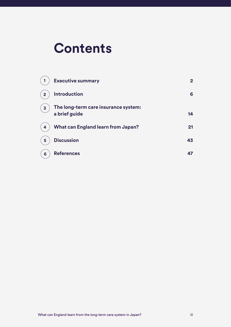# **Contents**

|                         | <b>Executive summary</b>                              | 2  |
|-------------------------|-------------------------------------------------------|----|
| $\overline{2}$          | <b>Introduction</b>                                   | 6  |
| $\overline{\mathbf{3}}$ | The long-term care insurance system:<br>a brief guide | 14 |
| 4                       | <b>What can England learn from Japan?</b>             | 21 |
| 5                       | <b>Discussion</b>                                     | 43 |
| 6                       | <b>References</b>                                     | 47 |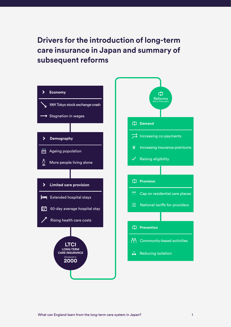**Drivers for the introduction of long-term care insurance in Japan and summary of subsequent reforms**

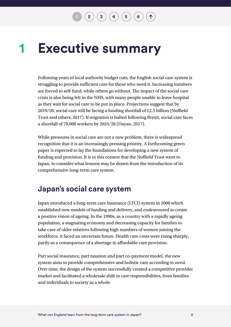#### <span id="page-4-0"></span>**Executive summary 1**

Following years of local authority budget cuts, the English social care system is struggling to provide sufficient care for those who need it. Increasing numbers are forced to self-fund, while others go without. The impact of the social care crisis is also being felt in the NHS, with many people unable to leave hospital as they wait for social care to be put in place. Projections suggest that by 2019/20, social care will be facing a funding shortfall of £2.5 billion (Nuffield Trust and others, 2017). If migration is halted following Brexit, social care faces a shortfall of 70,000 workers by 2025/26 (Dayan, 2017).

While pressures in social care are not a new problem, there is widespread recognition that it is an increasingly pressing priority. A forthcoming green paper is expected to lay the foundations for developing a new system of funding and provision. It is in this context that the Nuffield Trust went to Japan, to consider what lessons may be drawn from the introduction of its comprehensive long-term care system.

### **Japan's social care system**

Japan introduced a long-term care insurance (LTCI) system in 2000 which established new models of funding and delivery, and endeavoured to create a positive vision of ageing. In the 1990s, as a country with a rapidly ageing population, a stagnating economy and decreasing capacity for families to take care of older relatives following high numbers of women joining the workforce, it faced an uncertain future. Health care costs were rising sharply, partly as a consequence of a shortage in affordable care provision.

Part social insurance, part taxation and part co-payment model, the new system aims to provide comprehensive and holistic care according to need. Over time, the design of the system successfully created a competitive provider market and facilitated a wholesale shift in care responsibilities, from families and individuals to society as a whole.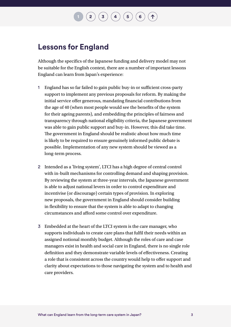$\mathbf{F} \left( \mathbf{a} \right) \left( \mathbf{b} \right) \left( \mathbf{c} \right) \left( \mathbf{c} \right) \left( \mathbf{c} \right)$ 

### **Lessons for England**

Although the specifics of the Japanese funding and delivery model may not be suitable for the English context, there are a number of important lessons England can learn from Japan's experience:

- 1 England has so far failed to gain public buy-in or sufficient cross-party support to implement any previous proposals for reform. By making the initial service offer generous, mandating financial contributions from the age of 40 (when most people would see the benefits of the system for their ageing parents), and embedding the principles of fairness and transparency through national eligibility criteria, the Japanese government was able to gain public support and buy-in. However, this did take time. The government in England should be realistic about how much time is likely to be required to ensure genuinely informed public debate is possible. Implementation of any new system should be viewed as a long-term process.
- 2 Intended as a 'living system', LTCI has a high degree of central control with in-built mechanisms for controlling demand and shaping provision. By reviewing the system at three-year intervals, the Japanese government is able to adjust national levers in order to control expenditure and incentivise (or discourage) certain types of provision. In exploring new proposals, the government in England should consider building in flexibility to ensure that the system is able to adapt to changing circumstances and afford some control over expenditure.
- 3 Embedded at the heart of the LTCI system is the care manager, who supports individuals to create care plans that fulfil their needs within an assigned notional monthly budget. Although the roles of care and case managers exist in health and social care in England, there is no single role definition and they demonstrate variable levels of effectiveness. Creating a role that is consistent across the country would help to offer support and clarity about expectations to those navigating the system and to health and care providers.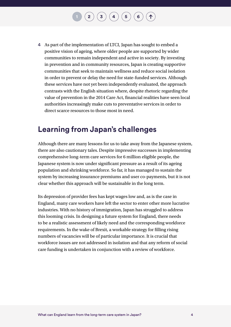4 As part of the implementation of LTCI, Japan has sought to embed a positive vision of ageing, where older people are supported by wider communities to remain independent and active in society. By investing in prevention and in community resources, Japan is creating supportive communities that seek to maintain wellness and reduce social isolation in order to prevent or delay the need for state-funded services. Although these services have not yet been independently evaluated, the approach contrasts with the English situation where, despite rhetoric regarding the value of prevention in the 2014 Care Act, financial realities have seen local authorities increasingly make cuts to preventative services in order to direct scarce resources to those most in need.

**[1](#page-4-0)**  $\left( \begin{array}{c} 3 \end{array} \right) \left( \begin{array}{c} 4 \end{array} \right) \left( \begin{array}{c} 5 \end{array} \right) \left( \begin{array}{c} 6 \end{array} \right)$  $\left( \begin{array}{c} 3 \end{array} \right) \left( \begin{array}{c} 4 \end{array} \right) \left( \begin{array}{c} 5 \end{array} \right) \left( \begin{array}{c} 6 \end{array} \right)$  $\left( \begin{array}{c} 3 \end{array} \right) \left( \begin{array}{c} 4 \end{array} \right) \left( \begin{array}{c} 5 \end{array} \right) \left( \begin{array}{c} 6 \end{array} \right)$  $\left( \begin{array}{c} 3 \end{array} \right) \left( \begin{array}{c} 4 \end{array} \right) \left( \begin{array}{c} 5 \end{array} \right) \left( \begin{array}{c} 6 \end{array} \right)$  $\left( \begin{array}{c} 3 \end{array} \right) \left( \begin{array}{c} 4 \end{array} \right) \left( \begin{array}{c} 5 \end{array} \right) \left( \begin{array}{c} 6 \end{array} \right)$  $\left( \begin{array}{c} 3 \end{array} \right) \left( \begin{array}{c} 4 \end{array} \right) \left( \begin{array}{c} 5 \end{array} \right) \left( \begin{array}{c} 6 \end{array} \right)$  $\left( \begin{array}{c} 3 \end{array} \right) \left( \begin{array}{c} 4 \end{array} \right) \left( \begin{array}{c} 5 \end{array} \right) \left( \begin{array}{c} 6 \end{array} \right)$  $\left( \begin{array}{c} 3 \end{array} \right) \left( \begin{array}{c} 4 \end{array} \right) \left( \begin{array}{c} 5 \end{array} \right) \left( \begin{array}{c} 6 \end{array} \right)$  $\left( \begin{array}{c} 3 \end{array} \right) \left( \begin{array}{c} 4 \end{array} \right) \left( \begin{array}{c} 5 \end{array} \right) \left( \begin{array}{c} 6 \end{array} \right)$ 

### **Learning from Japan's challenges**

Although there are many lessons for us to take away from the Japanese system, there are also cautionary tales. Despite impressive successes in implementing comprehensive long-term care services for 6 million eligible people, the Japanese system is now under significant pressure as a result of its ageing population and shrinking workforce. So far, it has managed to sustain the system by increasing insurance premiums and user co-payments, but it is not clear whether this approach will be sustainable in the long term.

Its depression of provider fees has kept wages low and, as is the case in England, many care workers have left the sector to enter other more lucrative industries. With no history of immigration, Japan has struggled to address this looming crisis. In designing a future system for England, there needs to be a realistic assessment of likely need and the corresponding workforce requirements. In the wake of Brexit, a workable strategy for filling rising numbers of vacancies will be of particular importance. It is crucial that workforce issues are not addressed in isolation and that any reform of social care funding is undertaken in conjunction with a review of workforce.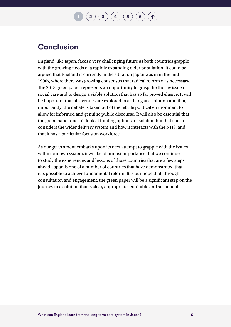### $\mathbf{2} \left( \mathbf{3} \right) \mathbf{3} \left( \mathbf{4} \right) \mathbf{4} \left( \mathbf{5} \right) \mathbf{6}$  $\mathbf{2} \left( \mathbf{3} \right) \mathbf{3} \left( \mathbf{4} \right) \mathbf{4} \left( \mathbf{5} \right) \mathbf{6}$  $\mathbf{2} \left( \mathbf{3} \right) \mathbf{3} \left( \mathbf{4} \right) \mathbf{4} \left( \mathbf{5} \right) \mathbf{6}$  $\mathbf{2} \left( \mathbf{3} \right) \mathbf{3} \left( \mathbf{4} \right) \mathbf{4} \left( \mathbf{5} \right) \mathbf{6}$  $\mathbf{2} \left( \mathbf{3} \right) \mathbf{3} \left( \mathbf{4} \right) \mathbf{4} \left( \mathbf{5} \right) \mathbf{6}$

### **Conclusion**

England, like Japan, faces a very challenging future as both countries grapple with the growing needs of a rapidly expanding older population. It could be argued that England is currently in the situation Japan was in in the mid-1990s, where there was growing consensus that radical reform was necessary. The 2018 green paper represents an opportunity to grasp the thorny issue of social care and to design a viable solution that has so far proved elusive. It will be important that all avenues are explored in arriving at a solution and that, importantly, the debate is taken out of the febrile political environment to allow for informed and genuine public discourse. It will also be essential that the green paper doesn't look at funding options in isolation but that it also considers the wider delivery system and how it interacts with the NHS, and that it has a particular focus on workforce.

As our government embarks upon its next attempt to grapple with the issues within our own system, it will be of utmost importance that we continue to study the experiences and lessons of those countries that are a few steps ahead. Japan is one of a number of countries that have demonstrated that it is possible to achieve fundamental reform. It is our hope that, through consultation and engagement, the green paper will be a significant step on the journey to a solution that is clear, appropriate, equitable and sustainable.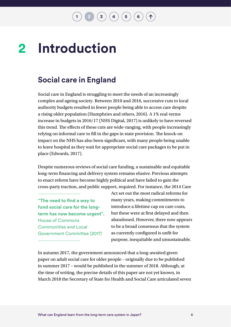$\binom{1}{3}$  $\binom{1}{3}$  $\binom{1}{3}$  $\binom{1}{3}$  $\binom{1}{3}$   $\binom{4}{4}$  $\binom{4}{4}$  $\binom{4}{4}$   $\binom{5}{6}$  $\binom{5}{6}$  $\binom{5}{6}$  $\binom{5}{6}$  $\binom{5}{6}$ 

#### <span id="page-8-0"></span>**Introduction 2**

### **Social care in England**

Social care in England is struggling to meet the needs of an increasingly complex and ageing society. Between 2010 and 2016, successive cuts to local authority budgets resulted in fewer people being able to access care despite a rising older population (Humphries and others, 2016). A 1% real-terms increase in budgets in 2016/17 (NHS Digital, 2017) is unlikely to have reversed this trend. The effects of these cuts are wide-ranging, with people increasingly relying on informal care to fill in the gaps in state provision. The knock-on impact on the NHS has also been significant, with many people being unable to leave hospital as they wait for appropriate social care packages to be put in place (Edwards, 2017).

Despite numerous reviews of social care funding, a sustainable and equitable long-term financing and delivery system remains elusive. Previous attempts to enact reform have become highly political and have failed to gain the cross-party traction, and public support, required. For instance, the 2014 Care

**"The need to find a way to fund social care for the longterm has now become urgent".** House of Commons Communities and Local Government Committee (2017)

Act set out the most radical reforms for many years, making commitments to introduce a lifetime cap on care costs, but these were at first delayed and then abandoned. However, there now appears to be a broad consensus that the system as currently configured is unfit for purpose, inequitable and unsustainable.

In autumn 2017, the government announced that a long-awaited green paper on adult social care for older people – originally due to be published in summer 2017 – would be published in the summer of 2018. Although, at the time of writing, the precise details of this paper are not yet known, in March 2018 the Secretary of State for Health and Social Care articulated seven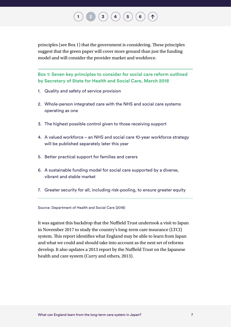principles (see Box 1) that the government is considering. These principles suggest that the green paper will cover more ground than just the funding model and will consider the provider market and workforce.

 $\left( \begin{array}{c} 2 \end{array} \right) \left( \begin{array}{c} 4 \end{array} \right) \left( \begin{array}{c} 5 \end{array} \right) \left( \begin{array}{c} 6 \end{array} \right)$  $\left( \begin{array}{c} 2 \end{array} \right) \left( \begin{array}{c} 4 \end{array} \right) \left( \begin{array}{c} 5 \end{array} \right) \left( \begin{array}{c} 6 \end{array} \right)$  $\left( \begin{array}{c} 2 \end{array} \right) \left( \begin{array}{c} 4 \end{array} \right) \left( \begin{array}{c} 5 \end{array} \right) \left( \begin{array}{c} 6 \end{array} \right)$  $\left( \begin{array}{c} 2 \end{array} \right) \left( \begin{array}{c} 4 \end{array} \right) \left( \begin{array}{c} 5 \end{array} \right) \left( \begin{array}{c} 6 \end{array} \right)$  $\left( \begin{array}{c} 2 \end{array} \right) \left( \begin{array}{c} 4 \end{array} \right) \left( \begin{array}{c} 5 \end{array} \right) \left( \begin{array}{c} 6 \end{array} \right)$  $\left( \begin{array}{c} 2 \end{array} \right) \left( \begin{array}{c} 4 \end{array} \right) \left( \begin{array}{c} 5 \end{array} \right) \left( \begin{array}{c} 6 \end{array} \right)$  $\left( \begin{array}{c} 2 \end{array} \right) \left( \begin{array}{c} 4 \end{array} \right) \left( \begin{array}{c} 5 \end{array} \right) \left( \begin{array}{c} 6 \end{array} \right)$  $\left( \begin{array}{c} 2 \end{array} \right) \left( \begin{array}{c} 4 \end{array} \right) \left( \begin{array}{c} 5 \end{array} \right) \left( \begin{array}{c} 6 \end{array} \right)$  $\left( \begin{array}{c} 2 \end{array} \right) \left( \begin{array}{c} 4 \end{array} \right) \left( \begin{array}{c} 5 \end{array} \right) \left( \begin{array}{c} 6 \end{array} \right)$ 

**Box 1: Seven key principles to consider for social care reform outlined by Secretary of State for Health and Social Care, March 2018**

1. Quality and safety of service provision

**2**

- 2. Whole-person integrated care with the NHS and social care systems operating as one
- 3. The highest possible control given to those receiving support
- 4. A valued workforce an NHS and social care 10-year workforce strategy will be published separately later this year
- 5. Better practical support for families and carers
- 6. A sustainable funding model for social care supported by a diverse, vibrant and stable market
- 7. Greater security for all, including risk-pooling, to ensure greater equity

Source: Department of Health and Social Care (2018)

It was against this backdrop that the Nuffield Trust undertook a visit to Japan in November 2017 to study the country's long-term care insurance (LTCI) system. This report identifies what England may be able to learn from Japan and what we could and should take into account as the next set of reforms develop. It also updates a 2013 report by the Nuffield Trust on the Japanese health and care system (Curry and others, 2013).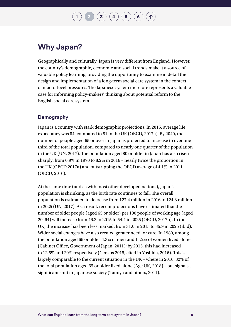$\binom{1}{3}\binom{4}{4}\binom{5}{6}$  $\binom{1}{3}\binom{4}{4}\binom{5}{6}$  $\binom{1}{3}\binom{4}{4}\binom{5}{6}$  $\binom{1}{3}\binom{4}{4}\binom{5}{6}$  $\binom{1}{3}\binom{4}{4}\binom{5}{6}$  $\binom{1}{3}\binom{4}{4}\binom{5}{6}$  $\binom{1}{3}\binom{4}{4}\binom{5}{6}$  $\binom{1}{3}\binom{4}{4}\binom{5}{6}$  $\binom{1}{3}\binom{4}{4}\binom{5}{6}$  $\binom{1}{3}\binom{4}{4}\binom{5}{6}$  $\binom{1}{3}\binom{4}{4}\binom{5}{6}$ 

### **Why Japan?**

Geographically and culturally, Japan is very different from England. However, the country's demographic, economic and social trends make it a source of valuable policy learning, providing the opportunity to examine in detail the design and implementation of a long-term social care system in the context of macro-level pressures. The Japanese system therefore represents a valuable case for informing policy-makers' thinking about potential reform to the English social care system.

#### **Demography**

Japan is a country with stark demographic projections. In 2015, average life expectancy was 84, compared to 81 in the UK (OECD, 2017a). By 2040, the number of people aged 65 or over in Japan is projected to increase to over one third of the total population, compared to nearly one quarter of the population in the UK (UN, 2017). The population aged 80 or older in Japan has also risen sharply, from 0.9% in 1970 to 8.2% in 2016 – nearly twice the proportion in the UK (OECD 2017a) and outstripping the OECD average of 4.1% in 2011 (OECD, 2016).

At the same time (and as with most other developed nations), Japan's population is shrinking, as the birth rate continues to fall. The overall population is estimated to decrease from 127.4 million in 2016 to 124.3 million in 2025 (UN, 2017). As a result, recent projections have estimated that the number of older people (aged 65 or older) per 100 people of working age (aged 20–64) will increase from 46.2 in 2015 to 54.4 in 2025 (OECD, 2017b). In the UK, the increase has been less marked, from 31.0 in 2015 to 35.9 in 2025 (ibid). Wider social changes have also created greater need for care. In 1980, among the population aged 65 or older, 4.3% of men and 11.2% of women lived alone (Cabinet Office, Government of Japan, 2011); by 2015, this had increased to 12.5% and 20% respectively (Census 2015, cited in Yoshida, 2016). This is largely comparable to the current situation in the UK – where in 2016, 32% of the total population aged 65 or older lived alone (Age UK, 2018) – but signals a significant shift in Japanese society (Tamiya and others, 2011).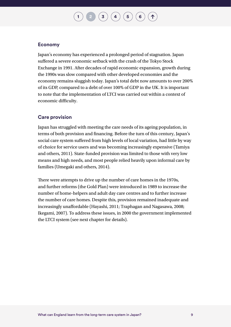$\mathbf{I} \left( \mathbf{3} \right) \left( \mathbf{4} \right) \left( \mathbf{5} \right) \left( \mathbf{6} \right)$  $\mathbf{I} \left( \mathbf{3} \right) \left( \mathbf{4} \right) \left( \mathbf{5} \right) \left( \mathbf{6} \right)$  $\mathbf{I} \left( \mathbf{3} \right) \left( \mathbf{4} \right) \left( \mathbf{5} \right) \left( \mathbf{6} \right)$  $\mathbf{I} \left( \mathbf{3} \right) \left( \mathbf{4} \right) \left( \mathbf{5} \right) \left( \mathbf{6} \right)$  $\mathbf{I} \left( \mathbf{3} \right) \left( \mathbf{4} \right) \left( \mathbf{5} \right) \left( \mathbf{6} \right)$  $\mathbf{I} \left( \mathbf{3} \right) \left( \mathbf{4} \right) \left( \mathbf{5} \right) \left( \mathbf{6} \right)$  $\mathbf{I} \left( \mathbf{3} \right) \left( \mathbf{4} \right) \left( \mathbf{5} \right) \left( \mathbf{6} \right)$  $\mathbf{I} \left( \mathbf{3} \right) \left( \mathbf{4} \right) \left( \mathbf{5} \right) \left( \mathbf{6} \right)$  $\mathbf{I} \left( \mathbf{3} \right) \left( \mathbf{4} \right) \left( \mathbf{5} \right) \left( \mathbf{6} \right)$ 

#### **Economy**

Japan's economy has experienced a prolonged period of stagnation. Japan suffered a severe economic setback with the crash of the Tokyo Stock Exchange in 1991. After decades of rapid economic expansion, growth during the 1990s was slow compared with other developed economies and the economy remains sluggish today. Japan's total debt now amounts to over 200% of its GDP, compared to a debt of over 100% of GDP in the UK. It is important to note that the implementation of LTCI was carried out within a context of economic difficulty.

#### **Care provision**

Japan has struggled with meeting the care needs of its ageing population, in terms of both provision and financing. Before the turn of this century, Japan's social care system suffered from high levels of local variation, had little by way of choice for service users and was becoming increasingly expensive (Tamiya and others, 2011). State-funded provision was limited to those with very low means and high needs, and most people relied heavily upon informal care by families (Umegaki and others, 2014).

There were attempts to drive up the number of care homes in the 1970s, and further reforms (the Gold Plan) were introduced in 1989 to increase the number of home-helpers and adult day care centres and to further increase the number of care homes. Despite this, provision remained inadequate and increasingly unaffordable (Hayashi, 2011; Traphagan and Nagasawa, 2008; Ikegami, 2007). To address these issues, in 2000 the government implemented the LTCI system (see next chapter for details).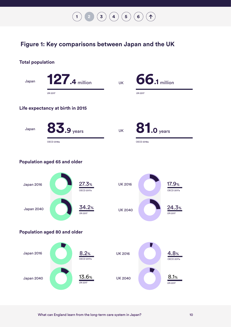#### <span id="page-12-0"></span>**Figure 1: Key comparisons between Japan and the UK**

 $\begin{pmatrix} 1 \end{pmatrix}$  $\begin{pmatrix} 1 \end{pmatrix}$  $\begin{pmatrix} 1 \end{pmatrix}$   $\begin{pmatrix} 2 \end{pmatrix}$  $\begin{pmatrix} 2 \end{pmatrix}$  $\begin{pmatrix} 2 \end{pmatrix}$   $\begin{pmatrix} 3 \end{pmatrix}$  $\begin{pmatrix} 3 \end{pmatrix}$  $\begin{pmatrix} 3 \end{pmatrix}$   $\begin{pmatrix} 4 \end{pmatrix}$  $\begin{pmatrix} 4 \end{pmatrix}$  $\begin{pmatrix} 4 \end{pmatrix}$   $\begin{pmatrix} 5 \end{pmatrix}$  $\begin{pmatrix} 5 \end{pmatrix}$  $\begin{pmatrix} 5 \end{pmatrix}$   $\begin{pmatrix} 6 \end{pmatrix}$  $\begin{pmatrix} 6 \end{pmatrix}$  $\begin{pmatrix} 6 \end{pmatrix}$ 

 $\uparrow$ 

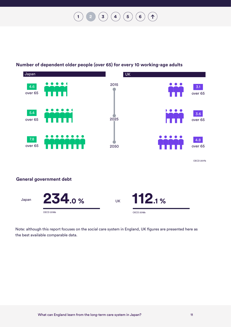$\begin{pmatrix} 1 \end{pmatrix}$  $\begin{pmatrix} 1 \end{pmatrix}$  $\begin{pmatrix} 1 \end{pmatrix}$  **[2](#page-8-0)**  $\begin{pmatrix} 3 \end{pmatrix}$  $\begin{pmatrix} 3 \end{pmatrix}$  $\begin{pmatrix} 3 \end{pmatrix}$   $\begin{pmatrix} 4 \end{pmatrix}$  $\begin{pmatrix} 4 \end{pmatrix}$  $\begin{pmatrix} 4 \end{pmatrix}$   $\begin{pmatrix} 5 \end{pmatrix}$  $\begin{pmatrix} 5 \end{pmatrix}$  $\begin{pmatrix} 5 \end{pmatrix}$   $\begin{pmatrix} 6 \end{pmatrix}$  $\begin{pmatrix} 6 \end{pmatrix}$  $\begin{pmatrix} 6 \end{pmatrix}$ 1



#### **Number of dependent older people (over 65) for every 10 working-age adults**

Note: although this report focuses on the social care system in England, UK figures are presented here as the best available comparable data.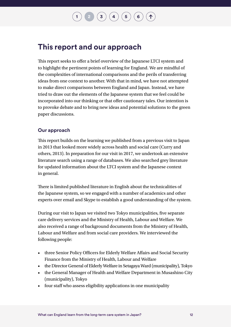### **This report and our approach**

This report seeks to offer a brief overview of the Japanese LTCI system and to highlight the pertinent points of learning for England. We are mindful of the complexities of international comparisons and the perils of transferring ideas from one context to another. With that in mind, we have not attempted to make direct comparisons between England and Japan. Instead, we have tried to draw out the elements of the Japanese system that we feel could be incorporated into our thinking or that offer cautionary tales. Our intention is to provoke debate and to bring new ideas and potential solutions to the green paper discussions.

#### **Our approach**

This report builds on the learning we published from a previous visit to Japan in 2013 that looked more widely across health and social care (Curry and others, 2013). In preparation for our visit in 2017, we undertook an extensive literature search using a range of databases. We also searched grey literature for updated information about the LTCI system and the Japanese context in general.

There is limited published literature in English about the technicalities of the Japanese system, so we engaged with a number of academics and other experts over email and Skype to establish a good understanding of the system.

During our visit to Japan we visited two Tokyo municipalities, five separate care delivery services and the Ministry of Health, Labour and Welfare. We also received a range of background documents from the Ministry of Health, Labour and Welfare and from social care providers. We interviewed the following people:

- three Senior Policy Officers for Elderly Welfare Affairs and Social Security Finance from the Ministry of Health, Labour and Welfare
- the Director General of Elderly Welfare in Setagaya Ward (municipality), Tokyo
- the General Manager of Health and Welfare Department in Musashino City (municipality), Tokyo
- four staff who assess eligibility applications in one municipality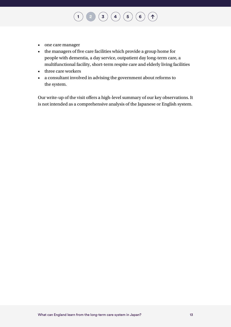- one care manager
- the managers of five care facilities which provide a group home for people with dementia, a day service, outpatient day long-term care, a multifunctional facility, short-term respite care and elderly living facilities

**[1](#page-4-0) [2](#page-8-0) [3](#page-16-0) [4](#page-23-0) [5](#page-45-0) [6](#page-49-0) 2**

 $\left( \bigwedge$ 

- three care workers
- a consultant involved in advising the government about reforms to the system.

Our write-up of the visit offers a high-level summary of our key observations. It is not intended as a comprehensive analysis of the Japanese or English system.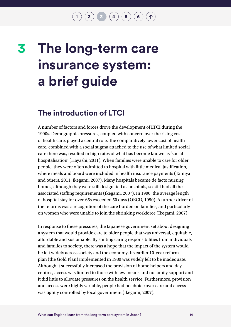$\binom{1}{2}$  $\binom{1}{2}$  $\binom{1}{2}$  $\binom{1}{2}$  $\binom{1}{2}$   $\binom{3}{3}$   $\binom{4}{4}$  $\binom{4}{4}$  $\binom{4}{4}$   $\binom{5}{6}$  $\binom{5}{6}$  $\binom{5}{6}$  $\binom{5}{6}$  $\binom{5}{6}$   $\binom{6}{6}$ 

# <span id="page-16-0"></span>**The long-term care insurance system: a brief guide 3**

### **The introduction of LTCI**

A number of factors and forces drove the development of LTCI during the 1990s. Demographic pressures, coupled with concern over the rising cost of health care, played a central role. The comparatively lower cost of health care, combined with a social stigma attached to the use of what limited social care there was, resulted in high rates of what has become known as 'social hospitalisation' (Hayashi, 2011). When families were unable to care for older people, they were often admitted to hospital with little medical justification, where meals and board were included in health insurance payments (Tamiya and others, 2011; Ikegami, 2007). Many hospitals became de facto nursing homes, although they were still designated as hospitals, so still had all the associated staffing requirements (Ikegami, 2007). In 1990, the average length of hospital stay for over-65s exceeded 50 days (OECD, 1990). A further driver of the reforms was a recognition of the care burden on families, and particularly on women who were unable to join the shrinking workforce (Ikegami, 2007).

In response to these pressures, the Japanese government set about designing a system that would provide care to older people that was universal, equitable, affordable and sustainable. By shifting caring responsibilities from individuals and families to society, there was a hope that the impact of the system would be felt widely across society and the economy. Its earlier 10-year reform plan (the Gold Plan) implemented in 1989 was widely felt to be inadequate. Although it successfully increased the provision of home helpers and day centres, access was limited to those with few means and no family support and it did little to alleviate pressures on the health service. Furthermore, provision and access were highly variable, people had no choice over care and access was tightly controlled by local government (Ikegami, 2007).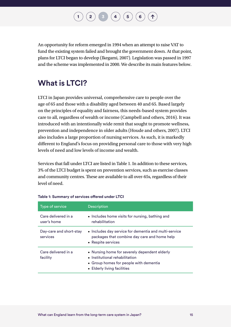$\begin{pmatrix} 2 \end{pmatrix}$  $\begin{pmatrix} 2 \end{pmatrix}$  $\begin{pmatrix} 2 \end{pmatrix}$   $\begin{pmatrix} 3 \end{pmatrix}$  $\begin{pmatrix} 3 \end{pmatrix}$  $\begin{pmatrix} 3 \end{pmatrix}$   $\begin{pmatrix} 4 \end{pmatrix}$  $\begin{pmatrix} 4 \end{pmatrix}$  $\begin{pmatrix} 4 \end{pmatrix}$   $\begin{pmatrix} 5 \end{pmatrix}$  $\begin{pmatrix} 5 \end{pmatrix}$  $\begin{pmatrix} 5 \end{pmatrix}$   $\begin{pmatrix} 6 \end{pmatrix}$  $\begin{pmatrix} 6 \end{pmatrix}$  $\begin{pmatrix} 6 \end{pmatrix}$ **3**

<span id="page-17-0"></span>An opportunity for reform emerged in 1994 when an attempt to raise VAT to fund the existing system failed and brought the government down. At that point, plans for LTCI began to develop (Ikegami, 2007). Legislation was passed in 1997 and the scheme was implemented in 2000. We describe its main features below.

### **What is LTCI?**

LTCI in Japan provides universal, comprehensive care to people over the age of 65 and those with a disability aged between 40 and 65. Based largely on the principles of equality and fairness, this needs-based system provides care to all, regardless of wealth or income (Campbell and others, 2016). It was introduced with an intentionally wide remit that sought to promote wellness, prevention and independence in older adults (Houde and others, 2007). LTCI also includes a large proportion of nursing services. As such, it is markedly different to England's focus on providing personal care to those with very high levels of need and low levels of income and wealth.

Services that fall under LTCI are listed in Table 1. In addition to these services, 3% of the LTCI budget is spent on prevention services, such as exercise classes and community centres. These are available to all over-65s, regardless of their level of need.

| Type of service                     | <b>Description</b>                                                                                                                                       |  |  |
|-------------------------------------|----------------------------------------------------------------------------------------------------------------------------------------------------------|--|--|
| Care delivered in a<br>user's home  | • Includes home visits for nursing, bathing and<br>rehabilitation                                                                                        |  |  |
| Day-care and short-stay<br>services | • Includes day service for dementia and multi-service<br>packages that combine day care and home help<br>• Respite services                              |  |  |
| Care delivered in a<br>facility     | • Nursing home for severely dependent elderly<br>• Institutional rehabilitation<br>• Group homes for people with dementia<br>• Elderly living facilities |  |  |

|  | Table 1: Summary of services offered under LTCI |  |  |
|--|-------------------------------------------------|--|--|
|  |                                                 |  |  |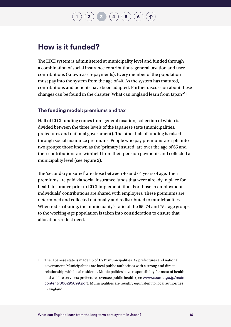$\begin{pmatrix} 2 \end{pmatrix}$  $\begin{pmatrix} 2 \end{pmatrix}$  $\begin{pmatrix} 2 \end{pmatrix}$   $\begin{pmatrix} 3 \end{pmatrix}$  $\begin{pmatrix} 3 \end{pmatrix}$  $\begin{pmatrix} 3 \end{pmatrix}$   $\begin{pmatrix} 4 \end{pmatrix}$  $\begin{pmatrix} 4 \end{pmatrix}$  $\begin{pmatrix} 4 \end{pmatrix}$   $\begin{pmatrix} 5 \end{pmatrix}$  $\begin{pmatrix} 5 \end{pmatrix}$  $\begin{pmatrix} 5 \end{pmatrix}$   $\begin{pmatrix} 6 \end{pmatrix}$  $\begin{pmatrix} 6 \end{pmatrix}$  $\begin{pmatrix} 6 \end{pmatrix}$ 

### **How is it funded?**

The LTCI system is administered at municipality level and funded through a combination of social insurance contributions, general taxation and user contributions (known as co-payments). Every member of the population must pay into the system from the age of 40. As the system has matured, contributions and benefits have been adapted. Further discussion about these changes can be found in the chapter 'What can England learn from Japan?'.**1**

#### **The funding model: premiums and tax**

Half of LTCI funding comes from general taxation, collection of which is divided between the three levels of the Japanese state (municipalities, prefectures and national government). The other half of funding is raised through social insurance premiums. People who pay premiums are split into two groups: those known as the 'primary insured' are over the age of 65 and their contributions are withheld from their pension payments and collected at municipality level (see Figure 2).

The 'secondary insured' are those between 40 and 64 years of age. Their premiums are paid via social insurance funds that were already in place for health insurance prior to LTCI implementation. For those in employment, individuals' contributions are shared with employers. These premiums are determined and collected nationally and redistributed to municipalities. When redistributing, the municipality's ratio of the 65–74 and 75+ age groups to the working-age population is taken into consideration to ensure that allocations reflect need.

1 The Japanese state is made up of 1,719 municipalities, 47 prefectures and national government. Municipalities are local public authorities with a strong and direct relationship with local residents. Municipalities have responsibility for most of health and welfare services; prefectures oversee public health (see [www.soumu.go.jp/main\\_](http://www.soumu.go.jp/main_content/000295099.pdf) [content/000295099.pdf](http://www.soumu.go.jp/main_content/000295099.pdf)). Municipalities are roughly equivalent to local authorities in England.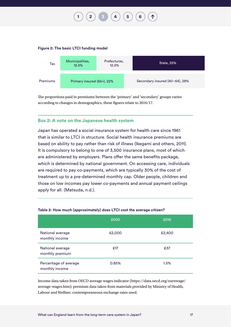# **[2](#page-8-0)**  $\binom{1}{3}$  $\binom{1}{3}$  $\binom{1}{3}$  $\binom{1}{3}$  $\binom{1}{3}$   $\binom{4}{4}$  $\binom{4}{4}$  $\binom{4}{4}$   $\binom{5}{5}$  $\binom{5}{5}$  $\binom{5}{5}$

#### **Figure 2: The basic LTCI funding model**



The proportions paid in premiums between the 'primary' and 'secondary' groups varies according to changes in demographics; these figures relate to 2016/17.

#### **Box 2: A note on the Japanese health system**

Japan has operated a social insurance system for health care since 1961 that is similar to LTCI in structure. Social health insurance premiums are based on ability to pay rather than risk of illness (Ikegami and others, 2011). It is compulsory to belong to one of 3,500 insurance plans, most of which are administered by employers. Plans offer the same benefits package, which is determined by national government. On accessing care, individuals are required to pay co-payments, which are typically 30% of the cost of treatment up to a pre-determined monthly cap. Older people, children and those on low incomes pay lower co-payments and annual payment ceilings apply for all. (Matsuda, n.d.).

|                                         | 2000   | 2016   |
|-----------------------------------------|--------|--------|
| National average<br>monthly income      | £2,000 | £2,400 |
| National average<br>monthly premium     | £17    | £37    |
| Percentage of average<br>monthly income | 0.85%  | 1.5%   |

#### **Table 2: How much (approximately) does LTCI cost the average citizen?**

Income data taken from OECD average wages indicator (https://data.oecd.org/earnwage/ average-wages.htm); premium data taken from materials provided by Ministry of Health, Labour and Welfare; contemporaneous exchange rates used.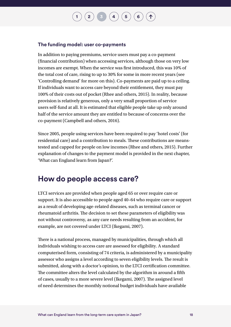#### **The funding model: user co-payments**

In addition to paying premiums, service users must pay a co-payment (financial contribution) when accessing services, although those on very low incomes are exempt. When the service was first introduced, this was 10% of the total cost of care, rising to up to 30% for some in more recent years (see 'Controlling demand' for more on this). Co-payments are paid up to a ceiling. If individuals want to access care beyond their entitlement, they must pay 100% of their costs out of pocket (Rhee and others, 2015). In reality, because provision is relatively generous, only a very small proportion of service users self-fund at all. It is estimated that eligible people take up only around half of the service amount they are entitled to because of concerns over the co-payment (Campbell and others, 2016).

 $\begin{pmatrix} 2 \end{pmatrix}$  $\begin{pmatrix} 2 \end{pmatrix}$  $\begin{pmatrix} 2 \end{pmatrix}$   $\begin{pmatrix} 3 \end{pmatrix}$  $\begin{pmatrix} 3 \end{pmatrix}$  $\begin{pmatrix} 3 \end{pmatrix}$   $\begin{pmatrix} 4 \end{pmatrix}$  $\begin{pmatrix} 4 \end{pmatrix}$  $\begin{pmatrix} 4 \end{pmatrix}$   $\begin{pmatrix} 5 \end{pmatrix}$  $\begin{pmatrix} 5 \end{pmatrix}$  $\begin{pmatrix} 5 \end{pmatrix}$   $\begin{pmatrix} 6 \end{pmatrix}$  $\begin{pmatrix} 6 \end{pmatrix}$  $\begin{pmatrix} 6 \end{pmatrix}$ 

Since 2005, people using services have been required to pay 'hotel costs' (for residential care) and a contribution to meals. These contributions are meanstested and capped for people on low incomes (Rhee and others, 2015). Further explanation of changes to the payment model is provided in the next chapter, 'What can England learn from Japan?'.

#### **How do people access care?**

LTCI services are provided when people aged 65 or over require care or support. It is also accessible to people aged 40–64 who require care or support as a result of developing age-related diseases, such as terminal cancer or rheumatoid arthritis. The decision to set these parameters of eligibility was not without controversy, as any care needs resulting from an accident, for example, are not covered under LTCI (Ikegami, 2007).

There is a national process, managed by municipalities, through which all individuals wishing to access care are assessed for eligibility. A standard computerised form, consisting of 74 criteria, is administered by a municipality assessor who assigns a level according to seven eligibility levels. The result is submitted, along with a doctor's opinion, to the LTCI certification committee. The committee alters the level calculated by the algorithm in around a fifth of cases, usually to a more severe level (Ikegami, 2007). The assigned level of need determines the monthly notional budget individuals have available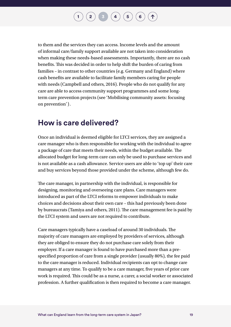### $\begin{pmatrix} 2 \end{pmatrix}$  $\begin{pmatrix} 2 \end{pmatrix}$  $\begin{pmatrix} 2 \end{pmatrix}$   $\begin{pmatrix} 3 \end{pmatrix}$  $\begin{pmatrix} 3 \end{pmatrix}$  $\begin{pmatrix} 3 \end{pmatrix}$   $\begin{pmatrix} 4 \end{pmatrix}$  $\begin{pmatrix} 4 \end{pmatrix}$  $\begin{pmatrix} 4 \end{pmatrix}$   $\begin{pmatrix} 5 \end{pmatrix}$  $\begin{pmatrix} 5 \end{pmatrix}$  $\begin{pmatrix} 5 \end{pmatrix}$   $\begin{pmatrix} 6 \end{pmatrix}$  $\begin{pmatrix} 6 \end{pmatrix}$  $\begin{pmatrix} 6 \end{pmatrix}$

to them and the services they can access. Income levels and the amount of informal care/family support available are not taken into consideration when making these needs-based assessments. Importantly, there are no cash benefits. This was decided in order to help shift the burden of caring from families – in contrast to other countries (e.g. Germany and England) where cash benefits are available to facilitate family members caring for people with needs (Campbell and others, 2016). People who do not qualify for any care are able to access community support programmes and some longterm care prevention projects (see 'Mobilising community assets: focusing on prevention').

### **How is care delivered?**

Once an individual is deemed eligible for LTCI services, they are assigned a care manager who is then responsible for working with the individual to agree a package of care that meets their needs, within the budget available. The allocated budget for long-term care can only be used to purchase services and is not available as a cash allowance. Service users are able to 'top up' their care and buy services beyond those provided under the scheme, although few do.

The care manager, in partnership with the individual, is responsible for designing, monitoring and overseeing care plans. Care managers were introduced as part of the LTCI reforms to empower individuals to make choices and decisions about their own care – this had previously been done by bureaucrats (Tamiya and others, 2011). The care management fee is paid by the LTCI system and users are not required to contribute.

Care managers typically have a caseload of around 30 individuals. The majority of care managers are employed by providers of services, although they are obliged to ensure they do not purchase care solely from their employer. If a care manager is found to have purchased more than a prespecified proportion of care from a single provider (usually 80%), the fee paid to the care manager is reduced. Individual recipients can opt to change care managers at any time. To qualify to be a care manager, five years of prior care work is required. This could be as a nurse, a carer, a social worker or associated profession. A further qualification is then required to become a care manager.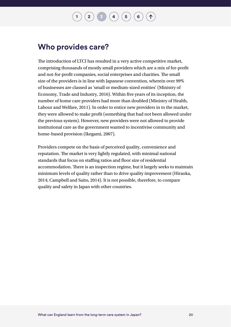### **Who provides care?**

The introduction of LTCI has resulted in a very active competitive market, comprising thousands of mostly small providers which are a mix of for-profit and not-for-profit companies, social enterprises and charities. The small size of the providers is in line with Japanese convention, wherein over 99% of businesses are classed as 'small or medium-sized entities' (Ministry of Economy, Trade and Industry, 2016). Within five years of its inception, the number of home care providers had more than doubled (Ministry of Health, Labour and Welfare, 2011). In order to entice new providers in to the market, they were allowed to make profit (something that had not been allowed under the previous system). However, new providers were not allowed to provide institutional care as the government wanted to incentivise community and home-based provision (Ikegami, 2007).

Providers compete on the basis of perceived quality, convenience and reputation. The market is very lightly regulated, with minimal national standards that focus on staffing ratios and floor size of residential accommodation. There is an inspection regime, but it largely seeks to maintain minimum levels of quality rather than to drive quality improvement (Hiraoka, 2014; Campbell and Saito, 2014). It is not possible, therefore, to compare quality and safety in Japan with other countries.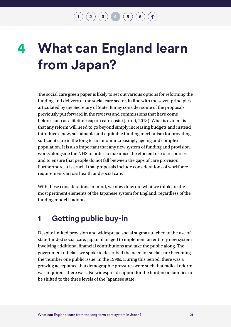$\binom{2}{\frac{3}{4}} \binom{4}{4} \binom{5}{6}$  $\binom{2}{\frac{3}{4}} \binom{4}{4} \binom{5}{6}$  $\binom{2}{\frac{3}{4}} \binom{4}{4} \binom{5}{6}$  $\binom{2}{\frac{3}{4}} \binom{4}{4} \binom{5}{6}$  $\binom{2}{\frac{3}{4}} \binom{4}{4} \binom{5}{6}$  $\binom{2}{\frac{3}{4}} \binom{4}{4} \binom{5}{6}$  $\binom{2}{\frac{3}{4}} \binom{4}{4} \binom{5}{6}$  $\binom{2}{\frac{3}{4}} \binom{4}{4} \binom{5}{6}$  $\binom{2}{\frac{3}{4}} \binom{4}{4} \binom{5}{6}$ 

## <span id="page-23-0"></span>**What can England learn from Japan? 4**

The social care green paper is likely to set out various options for reforming the funding and delivery of the social care sector, in line with the seven principles articulated by the Secretary of State. It may consider some of the proposals previously put forward in the reviews and commissions that have come before, such as a lifetime cap on care costs (Jarrett, 2018). What is evident is that any reform will need to go beyond simply increasing budgets and instead introduce a new, sustainable and equitable funding mechanism for providing sufficient care in the long term for our increasingly ageing and complex population. It is also important that any new system of funding and provision works alongside the NHS in order to maximise the efficient use of resources and to ensure that people do not fall between the gaps of care provision. Furthermore, it is crucial that proposals include considerations of workforce requirements across health and social care.

With these considerations in mind, we now draw out what we think are the most pertinent elements of the Japanese system for England, regardless of the funding model it adopts.

### **1 Getting public buy-in**

Despite limited provision and widespread social stigma attached to the use of state-funded social care, Japan managed to implement an entirely new system involving additional financial contributions and take the public along. The government officials we spoke to described the need for social care becoming the 'number one public issue' in the 1990s. During this period, there was a growing acceptance that demographic pressures were such that radical reform was required. There was also widespread support for the burden on families to be shifted to the three levels of the Japanese state.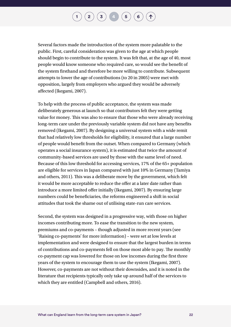Several factors made the introduction of the system more palatable to the public. First, careful consideration was given to the age at which people should begin to contribute to the system. It was felt that, at the age of 40, most people would know someone who required care, so would see the benefit of the system firsthand and therefore be more willing to contribute. Subsequent attempts to lower the age of contributions (to 20 in 2005) were met with opposition, largely from employers who argued they would be adversely affected (Ikegami, 2007).

To help with the process of public acceptance, the system was made deliberately generous at launch so that contributors felt they were getting value for money. This was also to ensure that those who were already receiving long-term care under the previously variable system did not have any benefits removed (Ikegami, 2007). By designing a universal system with a wide remit that had relatively low thresholds for eligibility, it ensured that a large number of people would benefit from the outset. When compared to Germany (which operates a social insurance system), it is estimated that twice the amount of community-based services are used by those with the same level of need. Because of this low threshold for accessing services, 17% of the 65+ population are eligible for services in Japan compared with just 10% in Germany (Tamiya and others, 2011). This was a deliberate move by the government, which felt it would be more acceptable to reduce the offer at a later date rather than introduce a more limited offer initially (Ikegami, 2007). By ensuring large numbers could be beneficiaries, the reforms engineered a shift in social attitudes that took the shame out of utilising state-run care services.

Second, the system was designed in a progressive way, with those on higher incomes contributing more. To ease the transition to the new system, premiums and co-payments – though adjusted in more recent years (see 'Raising co-payments' for more information) – were set at low levels at implementation and were designed to ensure that the largest burden in terms of contributions and co-payments fell on those most able to pay. The monthly co-payment cap was lowered for those on low incomes during the first three years of the system to encourage them to use the system (Ikegami, 2007). However, co-payments are not without their downsides, and it is noted in the literature that recipients typically only take up around half of the services to which they are entitled (Campbell and others, 2016).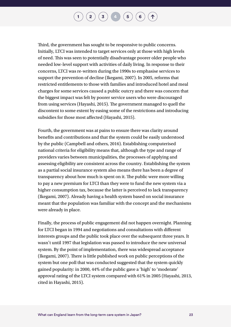$\binom{1}{2}\binom{3}{4}\binom{4}{5}\binom{6}{6}$  $\binom{1}{2}\binom{3}{4}\binom{4}{5}\binom{6}{6}$  $\binom{1}{2}\binom{3}{4}\binom{4}{5}\binom{6}{6}$  $\binom{1}{2}\binom{3}{4}\binom{4}{5}\binom{6}{6}$  $\binom{1}{2}\binom{3}{4}\binom{4}{5}\binom{6}{6}$  $\binom{1}{2}\binom{3}{4}\binom{4}{5}\binom{6}{6}$  $\binom{1}{2}\binom{3}{4}\binom{4}{5}\binom{6}{6}$  $\binom{1}{2}\binom{3}{4}\binom{4}{5}\binom{6}{6}$  $\binom{1}{2}\binom{3}{4}\binom{4}{5}\binom{6}{6}$  $\binom{1}{2}\binom{3}{4}\binom{4}{5}\binom{6}{6}$  $\binom{1}{2}\binom{3}{4}\binom{4}{5}\binom{6}{6}$  $\binom{1}{2}\binom{3}{4}\binom{4}{5}\binom{6}{6}$  $\binom{1}{2}\binom{3}{4}\binom{4}{5}\binom{6}{6}$ 

Third, the government has sought to be responsive to public concerns. Initially, LTCI was intended to target services only at those with high levels of need. This was seen to potentially disadvantage poorer older people who needed low-level support with activities of daily living. In response to their concerns, LTCI was re-written during the 1990s to emphasise services to support the prevention of decline (Ikegami, 2007). In 2005, reforms that restricted entitlements to those with families and introduced hotel and meal charges for some services caused a public outcry and there was concern that the biggest impact was felt by poorer service users who were discouraged from using services (Hayashi, 2015). The government managed to quell the discontent to some extent by easing some of the restrictions and introducing subsidies for those most affected (Hayashi, 2015).

Fourth, the government was at pains to ensure there was clarity around benefits and contributions and that the system could be easily understood by the public (Campbell and others, 2016). Establishing computerised national criteria for eligibility means that, although the type and range of providers varies between municipalities, the processes of applying and assessing eligibility are consistent across the country. Establishing the system as a partial social insurance system also means there has been a degree of transparency about how much is spent on it. The public were more willing to pay a new premium for LTCI than they were to fund the new system via a higher consumption tax, because the latter is perceived to lack transparency (Ikegami, 2007). Already having a health system based on social insurance meant that the population was familiar with the concept and the mechanisms were already in place.

Finally, the process of public engagement did not happen overnight. Planning for LTCI began in 1994 and negotiations and consultations with different interests groups and the public took place over the subsequent three years. It wasn't until 1997 that legislation was passed to introduce the new universal system. By the point of implementation, there was widespread acceptance (Ikegami, 2007). There is little published work on public perceptions of the system but one poll that was conducted suggested that the system quickly gained popularity: in 2000, 44% of the public gave a 'high' to 'moderate' approval rating of the LTCI system compared with 61% in 2005 (Hayashi, 2013, cited in Hayashi, 2015).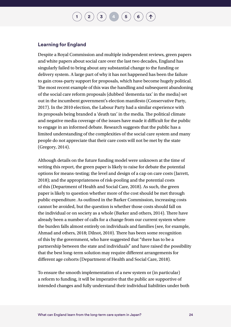$\binom{1}{2}$  $\binom{1}{2}$  $\binom{1}{2}$  $\binom{1}{2}$  $\binom{1}{2}$   $\binom{3}{4}$  $\binom{3}{4}$  $\binom{3}{4}$  $\binom{3}{4}$  $\binom{3}{4}$   $\binom{4}{5}$  $\binom{4}{5}$  $\binom{4}{5}$   $\binom{5}{6}$  $\binom{5}{6}$  $\binom{5}{6}$ 

#### **Learning for England**

Despite a Royal Commission and multiple independent reviews, green papers and white papers about social care over the last two decades, England has singularly failed to bring about any substantial change to the funding or delivery system. A large part of why it has not happened has been the failure to gain cross-party support for proposals, which have become hugely political. The most recent example of this was the handling and subsequent abandoning of the social care reform proposals (dubbed 'dementia tax' in the media) set out in the incumbent government's election manifesto (Conservative Party, 2017). In the 2010 election, the Labour Party had a similar experience with its proposals being branded a 'death tax' in the media. The political climate and negative media coverage of the issues have made it difficult for the public to engage in an informed debate. Research suggests that the public has a limited understanding of the complexities of the social care system and many people do not appreciate that their care costs will not be met by the state (Gregory, 2014).

Although details on the future funding model were unknown at the time of writing this report, the green paper is likely to raise for debate the potential options for means-testing; the level and design of a cap on care costs (Jarrett, 2018); and the appropriateness of risk-pooling and the potential costs of this (Department of Health and Social Care, 2018). As such, the green paper is likely to question whether more of the cost should be met through public expenditure. As outlined in the Barker Commission, increasing costs cannot be avoided, but the question is whether those costs should fall on the individual or on society as a whole (Barker and others, 2014). There have already been a number of calls for a change from our current system where the burden falls almost entirely on individuals and families (see, for example, Ahmad and others, 2018; Dilnot, 2010). There has been some recognition of this by the government, who have suggested that "there has to be a partnership between the state and individuals" and have raised the possibility that the best long-term solution may require different arrangements for different age cohorts (Department of Health and Social Care, 2018).

To ensure the smooth implementation of a new system or (in particular) a reform to funding, it will be imperative that the public are supportive of intended changes and fully understand their individual liabilities under both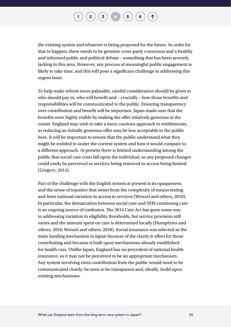

the existing system and whatever is being proposed for the future. In order for that to happen, there needs to be genuine cross-party consensus and a healthy and informed public and political debate – something that has been severely lacking in this area. However, any process of meaningful public engagement is likely to take time, and this will pose a significant challenge in addressing this urgent issue.

To help make reform more palatable, careful consideration should be given to who should pay in, who will benefit and – crucially – how those benefits and responsibilities will be communicated to the public. Ensuring transparency over contribution and benefit will be important. Japan made sure that the benefits were highly visible by making the offer relatively generous at the outset. England may wish to take a more cautious approach to entitlements, as reducing an initially generous offer may be less acceptable to the public here. It will be important to ensure that the public understand what they might be entitled to under the current system and how it would compare to a different approach. At present there is limited understanding among the public that social care costs fall upon the individual, so any proposed changes could easily be perceived as services being removed or access being limited (Gregory, 2014).

Part of the challenge with the English system at present is its opaqueness, and the sense of injustice that stems from the complexity of means testing and from national variation in access to services (Wenzel and others, 2018). In particular, the demarcation between social care and NHS continuing care is an ongoing source of confusion. The 2014 Care Act has gone some way to addressing variation in eligibility thresholds, but service provision still varies and the amount spent on care is determined locally (Humphries and others, 2016; Wenzel and others, 2018). Social insurance was selected as the main funding mechanism in Japan because of the clarity it offers for those contributing and because it built upon mechanisms already established for health care. Unlike Japan, England has no precedent of national health insurance, so it may not be perceived to be an appropriate mechanism. Any system involving extra contribution from the public would need to be communicated clearly, be seen to be transparent and, ideally, build upon existing mechanisms.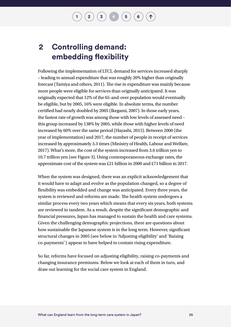### **2 Controlling demand: embedding flexibility**

Following the implementation of LTCI, demand for services increased sharply – leading to annual expenditure that was roughly 20% higher than originally forecast (Tamiya and others, 2011). The rise in expenditure was mainly because more people were eligible for services than originally anticipated. It was originally expected that 12% of the 65-and-over population would eventually be eligible, but by 2005, 16% were eligible. In absolute terms, the number certified had nearly doubled by 2005 (Ikegami, 2007). In those early years, the fastest rate of growth was among those with low levels of assessed need – this group increased by 138% by 2005, while those with higher levels of need increased by 60% over the same period (Hayashi, 2015). Between 2000 (the year of implementation) and 2017, the number of people in receipt of services increased by approximately 3.3 times (Ministry of Health, Labour and Welfare, 2017). What's more, the cost of the system increased from 3.6 trillion yen to 10.7 trillion yen (see Figure 3). Using contemporaneous exchange rates, the approximate cost of the system was £21 billion in 2000 and £71 billion in 2017.

When the system was designed, there was an explicit acknowledgement that it would have to adapt and evolve as the population changed, so a degree of flexibility was embedded and change was anticipated. Every three years, the system is reviewed and reforms are made. The health system undergoes a similar process every two years which means that every six years, both systems are reviewed in tandem. As a result, despite the significant demographic and financial pressures, Japan has managed to sustain the health and care systems. Given the challenging demographic projections, there are questions about how sustainable the Japanese system is in the long term. However, significant structural changes in 2005 (see below in 'Adjusting eligibility' and 'Raising co-payments') appear to have helped to contain rising expenditure.

So far, reforms have focused on adjusting eligibility, raising co-payments and changing insurance premiums. Below we look at each of them in turn, and draw out learning for the social care system in England.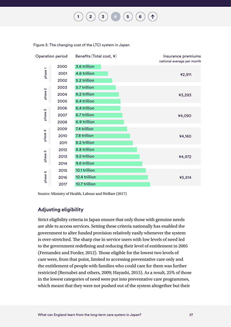**[1](#page-4-0) [2](#page-8-0) [3](#page-16-0) [4](#page-23-0) [5](#page-45-0) [6](#page-49-0)**

2000 ¥5,514 ¥4,972 ¥4,160 ¥4,090 ¥3,293 2001 ¥2,911 4.6 trillion 2002 2003 2004 2005 2006 2007 2008 2009 2010 2011 2012 2013 2014 2015 2016 2017 3.6 trillion 5.2 trillion 5.7 trillion 6.2 trillion 6.4 trillion 6.4 trillion 6.7 trillion 6.9 trillion 7.4 trillion 7.8 trillion 8.2 trillion 8.8 trillion 9.2 trillion 9.6 trillion 10.1 trillion 10.4 trillion 10.7 trillion Operation period Benefits (Total cost,  $\angle$ ) Insurance premiums national average per month phase 1 phase 2 phase 3 phase 4 phase 5 phase 6

Figure 3: The changing cost of the LTCI system in Japan

Source: Ministry of Health, Labour and Welfare (2017)

#### **Adjusting eligibility**

Strict eligibility criteria in Japan ensure that only those with genuine needs are able to access services. Setting these criteria nationally has enabled the government to alter funded provision relatively easily whenever the system is over-stretched. The sharp rise in service users with low levels of need led to the government redefining and reducing their level of entitlement in 2005 (Fernandez and Forder, 2012). Those eligible for the lowest two levels of care were, from that point, limited to accessing preventative care only and the entitlement of people with families who could care for them was further restricted (Bernabei and others, 2009; Hayashi, 2015). As a result, 25% of those in the lowest categories of need were put into preventative care programmes, which meant that they were not pushed out of the system altogether but their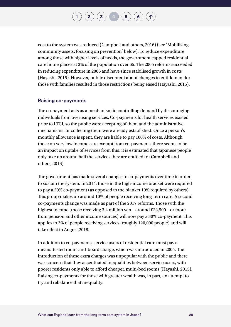$\binom{1}{2}\binom{3}{4}\binom{4}{5}\binom{6}{6}$  $\binom{1}{2}\binom{3}{4}\binom{4}{5}\binom{6}{6}$  $\binom{1}{2}\binom{3}{4}\binom{4}{5}\binom{6}{6}$  $\binom{1}{2}\binom{3}{4}\binom{4}{5}\binom{6}{6}$  $\binom{1}{2}\binom{3}{4}\binom{4}{5}\binom{6}{6}$  $\binom{1}{2}\binom{3}{4}\binom{4}{5}\binom{6}{6}$  $\binom{1}{2}\binom{3}{4}\binom{4}{5}\binom{6}{6}$  $\binom{1}{2}\binom{3}{4}\binom{4}{5}\binom{6}{6}$  $\binom{1}{2}\binom{3}{4}\binom{4}{5}\binom{6}{6}$  $\binom{1}{2}\binom{3}{4}\binom{4}{5}\binom{6}{6}$  $\binom{1}{2}\binom{3}{4}\binom{4}{5}\binom{6}{6}$  $\binom{1}{2}\binom{3}{4}\binom{4}{5}\binom{6}{6}$  $\binom{1}{2}\binom{3}{4}\binom{4}{5}\binom{6}{6}$ 

cost to the system was reduced (Campbell and others, 2016) (see 'Mobilising community assets: focusing on prevention' below). To reduce expenditure among those with higher levels of needs, the government capped residential care home places at 3% of the population over 65. The 2005 reforms succeeded in reducing expenditure in 2006 and have since stabilised growth in costs (Hayashi, 2015). However, public discontent about changes to entitlement for those with families resulted in those restrictions being eased (Hayashi, 2015).

#### **Raising co-payments**

The co-payment acts as a mechanism in controlling demand by discouraging individuals from overusing services. Co-payments for health services existed prior to LTCI, so the public were accepting of them and the administrative mechanisms for collecting them were already established. Once a person's monthly allowance is spent, they are liable to pay 100% of costs. Although those on very low incomes are exempt from co-payments, there seems to be an impact on uptake of services from this: it is estimated that Japanese people only take up around half the services they are entitled to (Campbell and others, 2016).

The government has made several changes to co-payments over time in order to sustain the system. In 2014, those in the high-income bracket were required to pay a 20% co-payment (as opposed to the blanket 10% required by others). This group makes up around 10% of people receiving long-term care. A second co-payments change was made as part of the 2017 reforms. Those with the highest income (those receiving 3.4 million yen – around £22,500 – or more from pension and other income sources) will now pay a 30% co-payment. This applies to 3% of people receiving services (roughly 120,000 people) and will take effect in August 2018.

In addition to co-payments, service users of residential care must pay a means-tested room-and-board charge, which was introduced in 2005. The introduction of these extra charges was unpopular with the public and there was concern that they accentuated inequalities between service users, with poorer residents only able to afford cheaper, multi-bed rooms (Hayashi, 2015). Raising co-payments for those with greater wealth was, in part, an attempt to try and rebalance that inequality.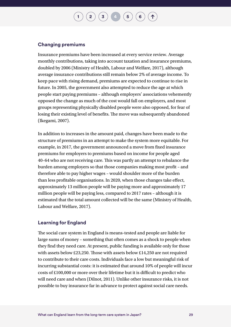$\binom{1}{2}\binom{3}{4}\binom{4}{5}$  $\binom{1}{2}\binom{3}{4}\binom{4}{5}$  $\binom{1}{2}\binom{3}{4}\binom{4}{5}$  $\binom{1}{2}\binom{3}{4}\binom{4}{5}$  $\binom{1}{2}\binom{3}{4}\binom{4}{5}$  $\binom{1}{2}\binom{3}{4}\binom{4}{5}$  $\binom{1}{2}\binom{3}{4}\binom{4}{5}$  $\binom{1}{2}\binom{3}{4}\binom{4}{5}$  $\binom{1}{2}\binom{3}{4}\binom{4}{5}$  $\binom{1}{2}\binom{3}{4}\binom{4}{5}$  $\binom{1}{2}\binom{3}{4}\binom{4}{5}$ 

#### **Changing premiums**

Insurance premiums have been increased at every service review. Average monthly contributions, taking into account taxation and insurance premiums, doubled by 2006 (Ministry of Health, Labour and Welfare, 2017), although average insurance contributions still remain below 2% of average income. To keep pace with rising demand, premiums are expected to continue to rise in future. In 2005, the government also attempted to reduce the age at which people start paying premiums – although employers' associations vehemently opposed the change as much of the cost would fall on employers, and most groups representing physically disabled people were also opposed, for fear of losing their existing level of benefits. The move was subsequently abandoned (Ikegami, 2007).

In addition to increases in the amount paid, changes have been made to the structure of premiums in an attempt to make the system more equitable. For example, in 2017, the government announced a move from fixed insurance premiums for employers to premiums based on income for people aged 40–64 who are not receiving care. This was partly an attempt to rebalance the burden among employers so that those companies making most profit – and therefore able to pay higher wages – would shoulder more of the burden than less profitable organisations. In 2020, when those changes take effect, approximately 13 million people will be paying more and approximately 17 million people will be paying less, compared to 2017 rates – although it is estimated that the total amount collected will be the same (Ministry of Health, Labour and Welfare, 2017).

#### **Learning for England**

The social care system in England is means-tested and people are liable for large sums of money – something that often comes as a shock to people when they find they need care. At present, public funding is available only for those with assets below £23,250. Those with assets below £14,250 are not required to contribute to their care costs. Individuals face a low but meaningful risk of incurring substantial costs: it is estimated that around 10% of people will incur costs of £100,000 or more over their lifetime but it is difficult to predict who will need care and when (Dilnot, 2011). Unlike other insurance risks, it is not possible to buy insurance far in advance to protect against social care needs.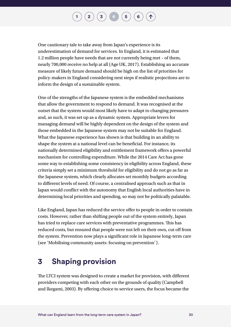$\begin{pmatrix} 2 \end{pmatrix}$  $\begin{pmatrix} 2 \end{pmatrix}$  $\begin{pmatrix} 2 \end{pmatrix}$   $\begin{pmatrix} 3 \end{pmatrix}$  $\begin{pmatrix} 3 \end{pmatrix}$  $\begin{pmatrix} 3 \end{pmatrix}$   $\begin{pmatrix} 4 \end{pmatrix}$  $\begin{pmatrix} 4 \end{pmatrix}$  $\begin{pmatrix} 4 \end{pmatrix}$   $\begin{pmatrix} 5 \end{pmatrix}$  $\begin{pmatrix} 5 \end{pmatrix}$  $\begin{pmatrix} 5 \end{pmatrix}$   $\begin{pmatrix} 6 \end{pmatrix}$  $\begin{pmatrix} 6 \end{pmatrix}$  $\begin{pmatrix} 6 \end{pmatrix}$ 

One cautionary tale to take away from Japan's experience is its underestimation of demand for services. In England, it is estimated that 1.2 million people have needs that are not currently being met – of them, nearly 700,000 receive no help at all (Age UK, 2017). Establishing an accurate measure of likely future demand should be high on the list of priorities for policy-makers in England considering next steps if realistic projections are to inform the design of a sustainable system.

One of the strengths of the Japanese system is the embedded mechanisms that allow the government to respond to demand. It was recognised at the outset that the system would most likely have to adapt to changing pressures and, as such, it was set up as a dynamic system. Appropriate levers for managing demand will be highly dependent on the design of the system and those embedded in the Japanese system may not be suitable for England. What the Japanese experience has shown is that building in an ability to shape the system at a national level can be beneficial. For instance, its nationally determined eligibility and entitlement framework offers a powerful mechanism for controlling expenditure. While the 2014 Care Act has gone some way to establishing some consistency in eligibility across England, these criteria simply set a minimum threshold for eligibility and do not go as far as the Japanese system, which clearly allocates set monthly budgets according to different levels of need. Of course, a centralised approach such as that in Japan would conflict with the autonomy that English local authorities have in determining local priorities and spending, so may not be politically palatable.

Like England, Japan has reduced the service offer to people in order to contain costs. However, rather than shifting people out of the system entirely, Japan has tried to replace care services with preventative programmes. This has reduced costs, but ensured that people were not left on their own, cut off from the system. Prevention now plays a significant role in Japanese long-term care (see 'Mobilising community assets: focusing on prevention').

### **3 Shaping provision**

The LTCI system was designed to create a market for provision, with different providers competing with each other on the grounds of quality (Campbell and Ikegami, 2003). By offering choice to service users, the focus became the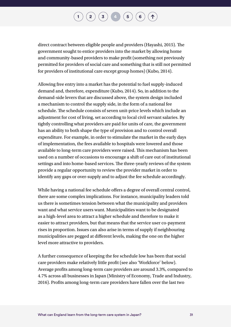for providers of institutional care except group homes) (Kubo, 2014).

direct contract between eligible people and providers (Hayashi, 2015). The government sought to entice providers into the market by allowing home and community-based providers to make profit (something not previously permitted for providers of social care and something that is still not permitted

Allowing free entry into a market has the potential to fuel supply-induced demand and, therefore, expenditure (Kubo, 2014). So, in addition to the demand-side levers that are discussed above, the system design included a mechanism to control the supply side, in the form of a national fee schedule. The schedule consists of seven unit-price levels which include an adjustment for cost of living, set according to local civil servant salaries. By tightly controlling what providers are paid for units of care, the government has an ability to both shape the type of provision and to control overall expenditure. For example, in order to stimulate the market in the early days of implementation, the fees available to hospitals were lowered and those available to long-term care providers were raised. This mechanism has been used on a number of occasions to encourage a shift of care out of institutional settings and into home-based services. The three-yearly reviews of the system provide a regular opportunity to review the provider market in order to identify any gaps or over-supply and to adjust the fee schedule accordingly.

While having a national fee schedule offers a degree of overall central control, there are some complex implications. For instance, municipality leaders told us there is sometimes tension between what the municipality and providers want and what service users want. Municipalities want to be designated as a high-level area to attract a higher schedule and therefore to make it easier to attract providers, but that means that the service user co-payment rises in proportion. Issues can also arise in terms of supply if neighbouring municipalities are pegged at different levels, making the one on the higher level more attractive to providers.

A further consequence of keeping the fee schedule low has been that social care providers make relatively little profit (see also 'Workforce' below). Average profits among long-term care providers are around 3.3%, compared to 4.7% across all businesses in Japan (Ministry of Economy, Trade and Industry, 2016). Profits among long-term care providers have fallen over the last two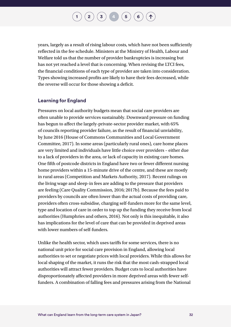years, largely as a result of rising labour costs, which have not been sufficiently reflected in the fee schedule. Ministers at the Ministry of Health, Labour and Welfare told us that the number of provider bankruptcies is increasing but has not yet reached a level that is concerning. When revising the LTCI fees, the financial conditions of each type of provider are taken into consideration. Types showing increased profits are likely to have their fees decreased, while the reverse will occur for those showing a deficit.

#### **Learning for England**

Pressures on local authority budgets mean that social care providers are often unable to provide services sustainably. Downward pressure on funding has begun to affect the largely-private-sector provider market, with 65% of councils reporting provider failure, as the result of financial unviability, by June 2016 (House of Commons Communities and Local Government Committee, 2017). In some areas (particularly rural ones), care home places are very limited and individuals have little choice over providers – either due to a lack of providers in the area, or lack of capacity in existing care homes. One fifth of postcode districts in England have two or fewer different nursing home providers within a 15-minute drive of the centre, and these are mostly in rural areas (Competition and Markets Authority, 2017). Recent rulings on the living wage and sleep-in fees are adding to the pressure that providers are feeling (Care Quality Commission, 2016; 2017b). Because the fees paid to providers by councils are often lower than the actual costs of providing care, providers often cross-subsidise, charging self-funders more for the same level, type and location of care in order to top up the funding they receive from local authorities (Humphries and others, 2016). Not only is this inequitable, it also has implications for the level of care that can be provided in deprived areas with lower numbers of self-funders.

Unlike the health sector, which uses tariffs for some services, there is no national unit price for social care provision in England, allowing local authorities to set or negotiate prices with local providers. While this allows for local shaping of the market, it runs the risk that the most cash-strapped local authorities will attract fewer providers. Budget cuts to local authorities have disproportionately affected providers in more deprived areas with fewer selffunders. A combination of falling fees and pressures arising from the National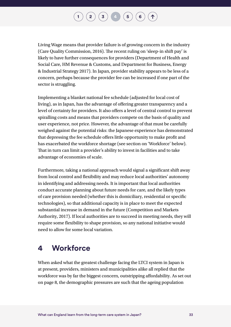

Living Wage means that provider failure is of growing concern in the industry (Care Quality Commission, 2016). The recent ruling on 'sleep-in shift pay' is likely to have further consequences for providers (Department of Health and Social Care, HM Revenue & Customs, and Department for Business, Energy & Industrial Strategy 2017). In Japan, provider stability appears to be less of a concern, perhaps because the provider fee can be increased if one part of the sector is struggling.

Implementing a blanket national fee schedule (adjusted for local cost of living), as in Japan, has the advantage of offering greater transparency and a level of certainty for providers. It also offers a level of central control to prevent spiralling costs and means that providers compete on the basis of quality and user experience, not price. However, the advantage of that must be carefully weighed against the potential risks: the Japanese experience has demonstrated that depressing the fee schedule offers little opportunity to make profit and has exacerbated the workforce shortage (see section on 'Workforce' below). That in turn can limit a provider's ability to invest in facilities and to take advantage of economies of scale.

Furthermore, taking a national approach would signal a significant shift away from local control and flexibility and may reduce local authorities' autonomy in identifying and addressing needs. It is important that local authorities conduct accurate planning about future needs for care, and the likely types of care provision needed (whether this is domiciliary, residential or specific technologies), so that additional capacity is in place to meet the expected substantial increase in demand in the future (Competition and Markets Authority, 2017). If local authorities are to succeed in meeting needs, they will require some flexibility to shape provision, so any national initiative would need to allow for some local variation.

### **4 Workforce**

When asked what the greatest challenge facing the LTCI system in Japan is at present, providers, ministers and municipalities alike all replied that the workforce was by far the biggest concern, outstripping affordability. As set out on page 8, the demographic pressures are such that the ageing population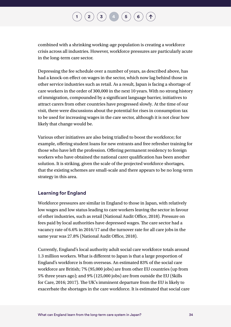combined with a shrinking working-age population is creating a workforce crisis across all industries. However, workforce pressures are particularly acute in the long-term care sector.

Depressing the fee schedule over a number of years, as described above, has had a knock-on effect on wages in the sector, which now lag behind those in other service industries such as retail. As a result, Japan is facing a shortage of care workers in the order of 300,000 in the next 10 years. With no strong history of immigration, compounded by a significant language barrier, initiatives to attract carers from other countries have progressed slowly. At the time of our visit, there were discussions about the potential for rises in consumption tax to be used for increasing wages in the care sector, although it is not clear how likely that change would be.

Various other initiatives are also being trialled to boost the workforce; for example, offering student loans for new entrants and free refresher training for those who have left the profession. Offering permanent residency to foreign workers who have obtained the national carer qualification has been another solution. It is striking, given the scale of the projected workforce shortages, that the existing schemes are small-scale and there appears to be no long-term strategy in this area.

#### **Learning for England**

Workforce pressures are similar in England to those in Japan, with relatively low wages and low status leading to care workers leaving the sector in favour of other industries, such as retail (National Audit Office, 2018). Pressure on fees paid by local authorities have depressed wages. The care sector had a vacancy rate of 6.6% in 2016/17 and the turnover rate for all care jobs in the same year was 27.8% (National Audit Office, 2018).

Currently, England's local authority adult social care workforce totals around 1.3 million workers. What is different to Japan is that a large proportion of England's workforce is from overseas. An estimated 83% of the social care workforce are British; 7% (95,000 jobs) are from other EU countries (up from 5% three years ago); and 9% (125,000 jobs) are from outside the EU (Skills for Care, 2016; 2017). The UK's imminent departure from the EU is likely to exacerbate the shortages in the care workforce. It is estimated that social care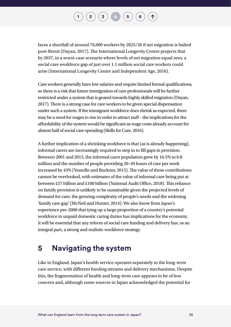### $\binom{1}{2}\binom{3}{4}\binom{4}{5}\binom{6}{6}$  $\binom{1}{2}\binom{3}{4}\binom{4}{5}\binom{6}{6}$  $\binom{1}{2}\binom{3}{4}\binom{4}{5}\binom{6}{6}$  $\binom{1}{2}\binom{3}{4}\binom{4}{5}\binom{6}{6}$  $\binom{1}{2}\binom{3}{4}\binom{4}{5}\binom{6}{6}$  $\binom{1}{2}\binom{3}{4}\binom{4}{5}\binom{6}{6}$  $\binom{1}{2}\binom{3}{4}\binom{4}{5}\binom{6}{6}$  $\binom{1}{2}\binom{3}{4}\binom{4}{5}\binom{6}{6}$  $\binom{1}{2}\binom{3}{4}\binom{4}{5}\binom{6}{6}$  $\binom{1}{2}\binom{3}{4}\binom{4}{5}\binom{6}{6}$  $\binom{1}{2}\binom{3}{4}\binom{4}{5}\binom{6}{6}$  $\binom{1}{2}\binom{3}{4}\binom{4}{5}\binom{6}{6}$  $\binom{1}{2}\binom{3}{4}\binom{4}{5}\binom{6}{6}$

faces a shortfall of around 70,000 workers by 2025/26 if net migration is halted post-Brexit (Dayan, 2017). The International Longevity Centre projects that by 2037, in a worst-case scenario where levels of net migration equal zero, a social care workforce gap of just over 1.1 million social care workers could arise (International Longevity Centre and Independent Age, 2016).

Care workers generally have low salaries and require limited formal qualifications, so there is a risk that future immigration of care professionals will be further restricted under a system that is geared towards highly skilled migration (Dayan, 2017). There is a strong case for care workers to be given special dispensation under such a system. If the immigrant workforce does shrink as expected, there may be a need for wages to rise in order to attract staff – the implications for the affordability of the system would be significant as wage costs already account for almost half of social care spending (Skills for Care, 2016).

A further implication of a shrinking workforce is that (as is already happening), informal carers are increasingly required to step in to fill gaps in provision. Between 2001 and 2015, the informal carer population grew by 16.5% to 6.8 million and the number of people providing 20–49 hours of care per week increased by 43% (Yeandle and Buckner, 2015). The value of these contributions cannot be overlooked, with estimates of the value of informal care being put at between £57 billion and £100 billion (National Audit Office, 2018). This reliance on family provision is unlikely to be sustainable given the projected levels of demand for care, the growing complexity of people's needs and the widening 'family care gap' (McNeil and Hunter, 2014). We also know from Japan's experience pre-2000 that tying up a large proportion of a country's potential workforce in unpaid domestic caring duties has implications for the economy. It will be essential that any reform of social care funding and delivery has, as an integral part, a strong and realistic workforce strategy.

### **5 Navigating the system**

Like in England, Japan's health service operates separately to the long-term care service, with different funding streams and delivery mechanisms. Despite this, the fragmentation of health and long-term care appears to be of less concern and, although some sources in Japan acknowledged the potential for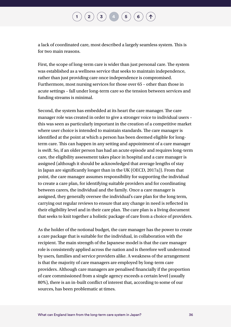a lack of coordinated care, most described a largely seamless system. This is for two main reasons.

First, the scope of long-term care is wider than just personal care. The system was established as a wellness service that seeks to maintain independence, rather than just providing care once independence is compromised. Furthermore, most nursing services for those over 65 – other than those in acute settings – fall under long-term care so the tension between services and funding streams is minimal.

Second, the system has embedded at its heart the care manager. The care manager role was created in order to give a stronger voice to individual users – this was seen as particularly important in the creation of a competitive market where user choice is intended to maintain standards. The care manager is identified at the point at which a person has been deemed eligible for longterm care. This can happen in any setting and appointment of a care manager is swift. So, if an older person has had an acute episode and requires long-term care, the eligibility assessment takes place in hospital and a care manager is assigned (although it should be acknowledged that average lengths of stay in Japan are significantly longer than in the UK (OECD, 2017a)). From that point, the care manager assumes responsibility for supporting the individual to create a care plan, for identifying suitable providers and for coordinating between carers, the individual and the family. Once a care manager is assigned, they generally oversee the individual's care plan for the long term, carrying out regular reviews to ensure that any change in need is reflected in their eligibility level and in their care plan. The care plan is a living document that seeks to knit together a holistic package of care from a choice of providers.

As the holder of the notional budget, the care manager has the power to create a care package that is suitable for the individual, in collaboration with the recipient. The main strength of the Japanese model is that the care manager role is consistently applied across the nation and is therefore well understood by users, families and service providers alike. A weakness of the arrangement is that the majority of care managers are employed by long-term care providers. Although care managers are penalised financially if the proportion of care commissioned from a single agency exceeds a certain level (usually 80%), there is an in-built conflict of interest that, according to some of our sources, has been problematic at times.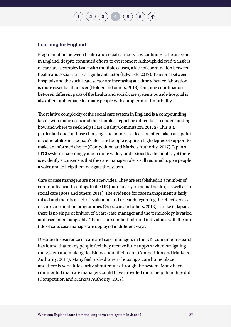#### **Learning for England**

Fragmentation between health and social care services continues to be an issue in England, despite continued efforts to overcome it. Although delayed transfers of care are a complex issue with multiple causes, a lack of coordination between health and social care is a significant factor (Edwards, 2017). Tensions between hospitals and the social care sector are increasing at a time when collaboration is more essential than ever (Holder and others, 2018). Ongoing coordination between different parts of the health and social care systems outside hospital is also often problematic for many people with complex multi-morbidity.

The relative complexity of the social care system in England is a compounding factor, with many users and their families reporting difficulties in understanding how and where to seek help (Care Quality Commission, 2017a). This is a particular issue for those choosing care homes – a decision often taken at a point of vulnerability in a person's life – and people require a high degree of support to make an informed choice (Competition and Markets Authority, 2017). Japan's LTCI system is seemingly much more widely understood by the public, yet there is evidently a consensus that the care manager role is still required to give people a voice and to help them navigate the system.

Care or case managers are not a new idea. They are established in a number of community health settings in the UK (particularly in mental health), as well as in social care (Ross and others, 2011). The evidence for case management is fairly mixed and there is a lack of evaluation and research regarding the effectiveness of care coordination programmes (Goodwin and others, 2013). Unlike in Japan, there is no single definition of a care/case manager and the terminology is varied and used interchangeably. There is no standard role and individuals with the job title of care/case manager are deployed in different ways.

Despite the existence of care and case managers in the UK, consumer research has found that many people feel they receive little support when navigating the system and making decisions about their care (Competition and Markets Authority, 2017). Many feel rushed when choosing a care home place and there is very little clarity about routes through the system. Many have commented that care managers could have provided more help than they did (Competition and Markets Authority, 2017).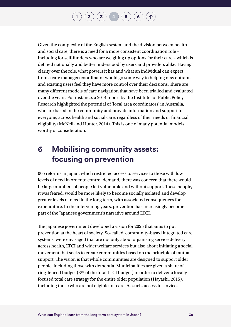Given the complexity of the English system and the division between health and social care, there is a need for a more consistent coordination role – including for self-funders who are weighing up options for their care – which is defined nationally and better understood by users and providers alike. Having clarity over the role, what powers it has and what an individual can expect from a care manager/coordinator would go some way to helping new entrants and existing users feel they have more control over their decisions. There are many different models of care navigation that have been trialled and evaluated over the years. For instance, a 2014 report by the Institute for Public Policy Research highlighted the potential of 'local area coordinators' in Australia, who are based in the community and provide information and support to everyone, across health and social care, regardless of their needs or financial eligibility (McNeil and Hunter, 2014). This is one of many potential models worthy of consideration.

### **6 Mobilising community assets: focusing on prevention**

005 reforms in Japan, which restricted access to services to those with low levels of need in order to control demand, there was concern that there would be large numbers of people left vulnerable and without support. These people, it was feared, would be more likely to become socially isolated and develop greater levels of need in the long term, with associated consequences for expenditure. In the intervening years, prevention has increasingly become part of the Japanese government's narrative around LTCI.

The Japanese government developed a vision for 2025 that aims to put prevention at the heart of society. So-called 'community-based integrated care systems' were envisaged that are not only about organising service delivery across health, LTCI and wider welfare services but also about initiating a social movement that seeks to create communities based on the principle of mutual support. The vision is that whole communities are designed to support older people, including those with dementia. Municipalities are given a share of a ring-fenced budget (3% of the total LTCI budget) in order to deliver a locally focused total care strategy for the entire older population (Hayashi, 2015), including those who are not eligible for care. As such, access to services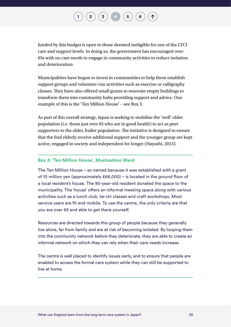$\binom{2}{\frac{3}{4}}\binom{4}{4}\binom{5}{6}$  $\binom{2}{\frac{3}{4}}\binom{4}{4}\binom{5}{6}$  $\binom{2}{\frac{3}{4}}\binom{4}{4}\binom{5}{6}$  $\binom{2}{\frac{3}{4}}\binom{4}{4}\binom{5}{6}$  $\binom{2}{\frac{3}{4}}\binom{4}{4}\binom{5}{6}$  $\binom{2}{\frac{3}{4}}\binom{4}{4}\binom{5}{6}$  $\binom{2}{\frac{3}{4}}\binom{4}{4}\binom{5}{6}$  $\binom{2}{\frac{3}{4}}\binom{4}{4}\binom{5}{6}$  $\binom{2}{\frac{3}{4}}\binom{4}{4}\binom{5}{6}$  $\binom{2}{\frac{3}{4}}\binom{4}{4}\binom{5}{6}$  $\binom{2}{\frac{3}{4}}\binom{4}{4}\binom{5}{6}$ 

funded by this budget is open to those deemed ineligible for one of the LTCI care and support levels. In doing so, the government has encouraged over-65s with no care needs to engage in community activities to reduce isolation and deterioration.

Municipalities have begun to invest in communities to help them establish support groups and volunteer-run activities such as exercise or calligraphy classes. They have also offered small grants to renovate empty buildings to transform them into community hubs providing support and advice. One example of this is the 'Ten Million House' – see Box 3.

As part of this overall strategy, Japan is seeking to mobilise the 'well' older population (i.e. those just over 65 who are in good health) to act as peer supporters to the older, frailer population. The initiative is designed to ensure that the frail elderly receive additional support and the younger group are kept active, engaged in society and independent for longer (Hayashi, 2015).

#### **Box 3: 'Ten Million House', Mushashino Ward**

The Ten Million House – so named because it was established with a grant of 10 million yen (approximately £66,000) – is located in the ground floor of a local resident's house. The 90-year-old resident donated the space to the municipality. The 'house' offers an informal meeting space along with various activities such as a lunch club, tai chi classes and craft workshops. Most service users are fit and mobile. To use the centre, the only criteria are that you are over 65 and able to get there yourself.

Resources are directed towards this group of people because they generally live alone, far from family and are at risk of becoming isolated. By looping them into the community network before they deteriorate, they are able to create an informal network on which they can rely when their care needs increase.

The centre is well placed to identify issues early, and to ensure that people are enabled to access the formal care system while they can still be supported to live at home.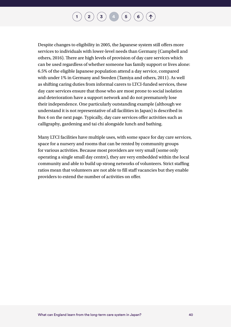$\binom{1}{2}$  $\binom{1}{2}$  $\binom{1}{2}$  $\binom{1}{2}$  $\binom{1}{2}$   $\binom{3}{4}$  $\binom{3}{4}$  $\binom{3}{4}$  $\binom{3}{4}$  $\binom{3}{4}$   $\binom{4}{5}$  $\binom{4}{5}$  $\binom{4}{5}$   $\binom{6}{6}$  $\binom{6}{6}$  $\binom{6}{6}$ 

Despite changes to eligibility in 2005, the Japanese system still offers more services to individuals with lower-level needs than Germany (Campbell and others, 2016). There are high levels of provision of day care services which can be used regardless of whether someone has family support or lives alone: 6.5% of the eligible Japanese population attend a day service, compared with under 1% in Germany and Sweden (Tamiya and others, 2011). As well as shifting caring duties from informal carers to LTCI-funded services, these day care services ensure that those who are most prone to social isolation and deterioration have a support network and do not prematurely lose their independence. One particularly outstanding example (although we understand it is not representative of all facilities in Japan) is described in Box 4 on the next page. Typically, day care services offer activities such as calligraphy, gardening and tai chi alongside lunch and bathing.

Many LTCI facilities have multiple uses, with some space for day care services, space for a nursery and rooms that can be rented by community groups for various activities. Because most providers are very small (some only operating a single small day centre), they are very embedded within the local community and able to build up strong networks of volunteers. Strict staffing ratios mean that volunteers are not able to fill staff vacancies but they enable providers to extend the number of activities on offer.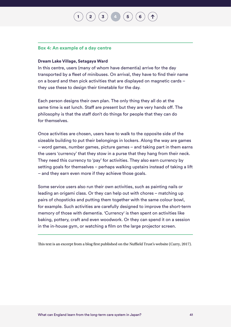**[2](#page-8-0)**  $(\mathbf{3})$  $(\mathbf{3})$  $(\mathbf{3})$   $(\mathbf{4})$  $(\mathbf{4})$  $(\mathbf{4})$   $(\mathbf{5})$  $(\mathbf{5})$  $(\mathbf{5})$ 

#### **Box 4: An example of a day centre**

#### **Dream Lake Village, Setagaya Ward**

In this centre, users (many of whom have dementia) arrive for the day transported by a fleet of minibuses. On arrival, they have to find their name on a board and then pick activities that are displayed on magnetic cards – they use these to design their timetable for the day.

Each person designs their own plan. The only thing they all do at the same time is eat lunch. Staff are present but they are very hands off. The philosophy is that the staff don't do things for people that they can do for themselves.

Once activities are chosen, users have to walk to the opposite side of the sizeable building to put their belongings in lockers. Along the way are games – word games, number games, picture games – and taking part in them earns the users 'currency' that they stow in a purse that they hang from their neck. They need this currency to 'pay' for activities. They also earn currency by setting goals for themselves – perhaps walking upstairs instead of taking a lift – and they earn even more if they achieve those goals.

Some service users also run their own activities, such as painting nails or leading an origami class. Or they can help out with chores – matching up pairs of chopsticks and putting them together with the same colour bowl, for example. Such activities are carefully designed to improve the short-term memory of those with dementia. 'Currency' is then spent on activities like baking, pottery, craft and even woodwork. Or they can spend it on a session in the in-house gym, or watching a film on the large projector screen.

This text is an excerpt from a blog first published on the Nuffield Trust's website (Curry, 2017).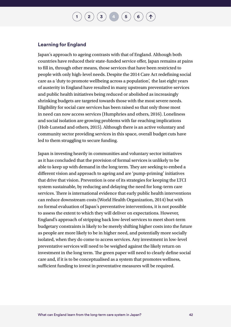#### **Learning for England**

Japan's approach to ageing contrasts with that of England. Although both countries have reduced their state-funded service offer, Japan remains at pains to fill in, through other means, those services that have been restricted to people with only high-level needs. Despite the 2014 Care Act redefining social care as a 'duty to promote wellbeing across a population', the last eight years of austerity in England have resulted in many upstream preventative services and public health initiatives being reduced or abolished as increasingly shrinking budgets are targeted towards those with the most severe needs. Eligibility for social care services has been raised so that only those most in need can now access services (Humphries and others, 2016). Loneliness and social isolation are growing problems with far-reaching implications (Holt-Lunstad and others, 2015). Although there is an active voluntary and community sector providing services in this space, overall budget cuts have led to them struggling to secure funding.

Japan is investing heavily in communities and voluntary sector initiatives as it has concluded that the provision of formal services is unlikely to be able to keep up with demand in the long term. They are seeking to embed a different vision and approach to ageing and are 'pump-priming' initiatives that drive that vision. Prevention is one of its strategies for keeping the LTCI system sustainable, by reducing and delaying the need for long-term care services. There is international evidence that early public health interventions can reduce downstream costs (World Health Organization, 2014) but with no formal evaluation of Japan's preventative interventions, it is not possible to assess the extent to which they will deliver on expectations. However, England's approach of stripping back low-level services to meet short-term budgetary constraints is likely to be merely shifting higher costs into the future as people are more likely to be in higher need, and potentially more socially isolated, when they do come to access services. Any investment in low-level preventative services will need to be weighed against the likely return on investment in the long term. The green paper will need to clearly define social care and, if it is to be conceptualised as a system that promotes wellness, sufficient funding to invest in preventative measures will be required.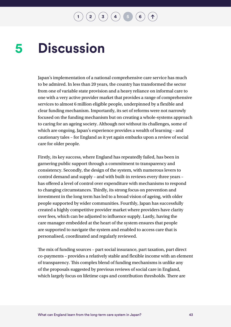$\begin{pmatrix} 2 \end{pmatrix} \begin{pmatrix} 3 \end{pmatrix} \begin{pmatrix} 4 \end{pmatrix} \begin{pmatrix} 5 \end{pmatrix} \begin{pmatrix} 6 \end{pmatrix}$  $\begin{pmatrix} 2 \end{pmatrix} \begin{pmatrix} 3 \end{pmatrix} \begin{pmatrix} 4 \end{pmatrix} \begin{pmatrix} 5 \end{pmatrix} \begin{pmatrix} 6 \end{pmatrix}$  $\begin{pmatrix} 2 \end{pmatrix} \begin{pmatrix} 3 \end{pmatrix} \begin{pmatrix} 4 \end{pmatrix} \begin{pmatrix} 5 \end{pmatrix} \begin{pmatrix} 6 \end{pmatrix}$  $\begin{pmatrix} 2 \end{pmatrix} \begin{pmatrix} 3 \end{pmatrix} \begin{pmatrix} 4 \end{pmatrix} \begin{pmatrix} 5 \end{pmatrix} \begin{pmatrix} 6 \end{pmatrix}$  $\begin{pmatrix} 2 \end{pmatrix} \begin{pmatrix} 3 \end{pmatrix} \begin{pmatrix} 4 \end{pmatrix} \begin{pmatrix} 5 \end{pmatrix} \begin{pmatrix} 6 \end{pmatrix}$  $\begin{pmatrix} 2 \end{pmatrix} \begin{pmatrix} 3 \end{pmatrix} \begin{pmatrix} 4 \end{pmatrix} \begin{pmatrix} 5 \end{pmatrix} \begin{pmatrix} 6 \end{pmatrix}$  $\begin{pmatrix} 2 \end{pmatrix} \begin{pmatrix} 3 \end{pmatrix} \begin{pmatrix} 4 \end{pmatrix} \begin{pmatrix} 5 \end{pmatrix} \begin{pmatrix} 6 \end{pmatrix}$  $\begin{pmatrix} 2 \end{pmatrix} \begin{pmatrix} 3 \end{pmatrix} \begin{pmatrix} 4 \end{pmatrix} \begin{pmatrix} 5 \end{pmatrix} \begin{pmatrix} 6 \end{pmatrix}$  $\begin{pmatrix} 2 \end{pmatrix} \begin{pmatrix} 3 \end{pmatrix} \begin{pmatrix} 4 \end{pmatrix} \begin{pmatrix} 5 \end{pmatrix} \begin{pmatrix} 6 \end{pmatrix}$ 

#### <span id="page-45-0"></span>**Discussion 5**

Japan's implementation of a national comprehensive care service has much to be admired. In less than 20 years, the country has transformed the sector from one of variable state provision and a heavy reliance on informal care to one with a very active provider market that provides a range of comprehensive services to almost 6 million eligible people, underpinned by a flexible and clear funding mechanism. Importantly, its set of reforms were not narrowly focused on the funding mechanism but on creating a whole-systems approach to caring for an ageing society. Although not without its challenges, some of which are ongoing, Japan's experience provides a wealth of learning – and cautionary tales – for England as it yet again embarks upon a review of social care for older people.

Firstly, its key success, where England has repeatedly failed, has been in garnering public support through a commitment to transparency and consistency. Secondly, the design of the system, with numerous levers to control demand and supply – and with built-in reviews every three years – has offered a level of control over expenditure with mechanisms to respond to changing circumstances. Thirdly, its strong focus on prevention and investment in the long term has led to a broad vision of ageing, with older people supported by wider communities. Fourthly, Japan has successfully created a highly competitive provider market where providers have clarity over fees, which can be adjusted to influence supply. Lastly, having the care manager embedded at the heart of the system ensures that people are supported to navigate the system and enabled to access care that is personalised, coordinated and regularly reviewed.

The mix of funding sources – part social insurance, part taxation, part direct co-payments – provides a relatively stable and flexible income with an element of transparency. This complex blend of funding mechanisms is unlike any of the proposals suggested by previous reviews of social care in England, which largely focus on lifetime caps and contribution thresholds. There are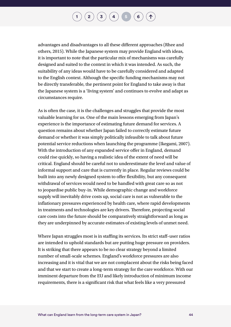$\binom{2}{\frac{3}{4}}\binom{4}{4}\binom{5}{6}$  $\binom{2}{\frac{3}{4}}\binom{4}{4}\binom{5}{6}$  $\binom{2}{\frac{3}{4}}\binom{4}{4}\binom{5}{6}$  $\binom{2}{\frac{3}{4}}\binom{4}{4}\binom{5}{6}$  $\binom{2}{\frac{3}{4}}\binom{4}{4}\binom{5}{6}$  $\binom{2}{\frac{3}{4}}\binom{4}{4}\binom{5}{6}$  $\binom{2}{\frac{3}{4}}\binom{4}{4}\binom{5}{6}$  $\binom{2}{\frac{3}{4}}\binom{4}{4}\binom{5}{6}$  $\binom{2}{\frac{3}{4}}\binom{4}{4}\binom{5}{6}$  $\binom{2}{\frac{3}{4}}\binom{4}{4}\binom{5}{6}$  $\binom{2}{\frac{3}{4}}\binom{4}{4}\binom{5}{6}$ 

advantages and disadvantages to all these different approaches (Rhee and others, 2015). While the Japanese system may provide England with ideas, it is important to note that the particular mix of mechanisms was carefully designed and suited to the context in which it was intended. As such, the suitability of any ideas would have to be carefully considered and adapted to the English context. Although the specific funding mechanisms may not be directly transferable, the pertinent point for England to take away is that the Japanese system is a 'living system' and continues to evolve and adapt as circumstances require.

As is often the case, it is the challenges and struggles that provide the most valuable learning for us. One of the main lessons emerging from Japan's experience is the importance of estimating future demand for services. A question remains about whether Japan failed to correctly estimate future demand or whether it was simply politically infeasible to talk about future potential service reductions when launching the programme (Ikegami, 2007). With the introduction of any expanded service offer in England, demand could rise quickly, so having a realistic idea of the extent of need will be critical. England should be careful not to underestimate the level and value of informal support and care that is currently in place. Regular reviews could be built into any newly designed system to offer flexibility, but any consequent withdrawal of services would need to be handled with great care so as not to jeopardise public buy-in. While demographic change and workforce supply will inevitably drive costs up, social care is not as vulnerable to the inflationary pressures experienced by health care, where rapid developments in treatments and technologies are key drivers. Therefore, projecting social care costs into the future should be comparatively straightforward as long as they are underpinned by accurate estimates of existing levels of unmet need.

Where Japan struggles most is in staffing its services. Its strict staff–user ratios are intended to uphold standards but are putting huge pressure on providers. It is striking that there appears to be no clear strategy beyond a limited number of small-scale schemes. England's workforce pressures are also increasing and it is vital that we are not complacent about the risks being faced and that we start to create a long-term strategy for the care workforce. With our imminent departure from the EU and likely introduction of minimum income requirements, there is a significant risk that what feels like a very pressured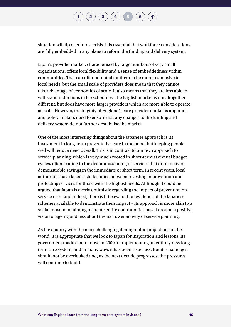situation will tip over into a crisis. It is essential that workforce considerations are fully embedded in any plans to reform the funding and delivery system.

Japan's provider market, characterised by large numbers of very small organisations, offers local flexibility and a sense of embeddedness within communities. That can offer potential for them to be more responsive to local needs, but the small scale of providers does mean that they cannot take advantage of economies of scale. It also means that they are less able to withstand reductions in fee schedules. The English market is not altogether different, but does have more larger providers which are more able to operate at scale. However, the fragility of England's care provider market is apparent and policy-makers need to ensure that any changes to the funding and delivery system do not further destabilise the market.

One of the most interesting things about the Japanese approach is its investment in long-term preventative care in the hope that keeping people well will reduce need overall. This is in contrast to our own approach to service planning, which is very much rooted in short-termist annual budget cycles, often leading to the decommissioning of services that don't deliver demonstrable savings in the immediate or short term. In recent years, local authorities have faced a stark choice between investing in prevention and protecting services for those with the highest needs. Although it could be argued that Japan is overly optimistic regarding the impact of prevention on service use – and indeed, there is little evaluation evidence of the Japanese schemes available to demonstrate their impact – its approach is more akin to a social movement aiming to create entire communities based around a positive vision of ageing and less about the narrower activity of service planning.

As the country with the most challenging demographic projections in the world, it is appropriate that we look to Japan for inspiration and lessons. Its government made a bold move in 2000 in implementing an entirely new longterm care system, and in many ways it has been a success. But its challenges should not be overlooked and, as the next decade progresses, the pressures will continue to build.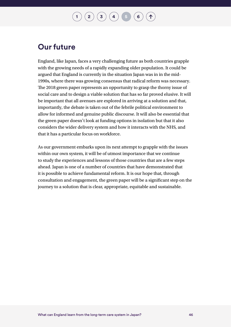$\binom{2}{\phantom{1}}\binom{3}{\phantom{1}}\binom{4}{\phantom{1}}\binom{5}{\phantom{1}}\binom{6}{\phantom{1}}$  $\binom{2}{\phantom{1}}\binom{3}{\phantom{1}}\binom{4}{\phantom{1}}\binom{5}{\phantom{1}}\binom{6}{\phantom{1}}$  $\binom{2}{\phantom{1}}\binom{3}{\phantom{1}}\binom{4}{\phantom{1}}\binom{5}{\phantom{1}}\binom{6}{\phantom{1}}$  $\binom{2}{\phantom{1}}\binom{3}{\phantom{1}}\binom{4}{\phantom{1}}\binom{5}{\phantom{1}}\binom{6}{\phantom{1}}$  $\binom{2}{\phantom{1}}\binom{3}{\phantom{1}}\binom{4}{\phantom{1}}\binom{5}{\phantom{1}}\binom{6}{\phantom{1}}$  $\binom{2}{\phantom{1}}\binom{3}{\phantom{1}}\binom{4}{\phantom{1}}\binom{5}{\phantom{1}}\binom{6}{\phantom{1}}$  $\binom{2}{\phantom{1}}\binom{3}{\phantom{1}}\binom{4}{\phantom{1}}\binom{5}{\phantom{1}}\binom{6}{\phantom{1}}$  $\binom{2}{\phantom{1}}\binom{3}{\phantom{1}}\binom{4}{\phantom{1}}\binom{5}{\phantom{1}}\binom{6}{\phantom{1}}$  $\binom{2}{\phantom{1}}\binom{3}{\phantom{1}}\binom{4}{\phantom{1}}\binom{5}{\phantom{1}}\binom{6}{\phantom{1}}$  $\binom{2}{\phantom{1}}\binom{3}{\phantom{1}}\binom{4}{\phantom{1}}\binom{5}{\phantom{1}}\binom{6}{\phantom{1}}$  $\binom{2}{\phantom{1}}\binom{3}{\phantom{1}}\binom{4}{\phantom{1}}\binom{5}{\phantom{1}}\binom{6}{\phantom{1}}$ 

### **Our future**

England, like Japan, faces a very challenging future as both countries grapple with the growing needs of a rapidly expanding older population. It could be argued that England is currently in the situation Japan was in in the mid-1990s, where there was growing consensus that radical reform was necessary. The 2018 green paper represents an opportunity to grasp the thorny issue of social care and to design a viable solution that has so far proved elusive. It will be important that all avenues are explored in arriving at a solution and that, importantly, the debate is taken out of the febrile political environment to allow for informed and genuine public discourse. It will also be essential that the green paper doesn't look at funding options in isolation but that it also considers the wider delivery system and how it interacts with the NHS, and that it has a particular focus on workforce.

As our government embarks upon its next attempt to grapple with the issues within our own system, it will be of utmost importance that we continue to study the experiences and lessons of those countries that are a few steps ahead. Japan is one of a number of countries that have demonstrated that it is possible to achieve fundamental reform. It is our hope that, through consultation and engagement, the green paper will be a significant step on the journey to a solution that is clear, appropriate, equitable and sustainable.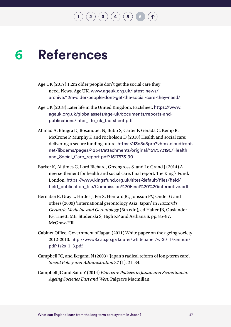#### <span id="page-49-0"></span>**References 6**

- Age UK (2017) 1.2m older people don't get the social care they need. News, Age UK. [www.ageuk.org.uk/latest-news/](http://www.ageuk.org.uk/latest-news/archive/12m-older-people-dont-get-the-social-care-they-need/) [archive/12m-older-people-dont-get-the-social-care-they-need/](http://www.ageuk.org.uk/latest-news/archive/12m-older-people-dont-get-the-social-care-they-need/)
- Age UK (2018) Later life in the United Kingdom. Factsheet. [https://www.](https://www.ageuk.org.uk/globalassets/age-uk/documents/reports-and-publications/later_life_uk_factsheet.pdf) [ageuk.org.uk/globalassets/age-uk/documents/reports-and](https://www.ageuk.org.uk/globalassets/age-uk/documents/reports-and-publications/later_life_uk_factsheet.pdf)[publications/later\\_life\\_uk\\_factsheet.pdf](https://www.ageuk.org.uk/globalassets/age-uk/documents/reports-and-publications/later_life_uk_factsheet.pdf)
- Ahmad A, Bhugra D, Bosanquet N, Bubb S, Carter P, Gerada C, Kemp R, McCrone P, Murphy K and Nicholson D (2018) Health and social care: delivering a secure funding future. [https://d3n8a8pro7vhmx.cloudfront.](https://d3n8a8pro7vhmx.cloudfront.net/libdems/pages/42341/attachments/original/1517573190/Health_and_Social_Care_report.pdf?1517573190
) [net/libdems/pages/42341/attachments/original/1517573190/Health\\_](https://d3n8a8pro7vhmx.cloudfront.net/libdems/pages/42341/attachments/original/1517573190/Health_and_Social_Care_report.pdf?1517573190
) [and\\_Social\\_Care\\_report.pdf?1517573190](https://d3n8a8pro7vhmx.cloudfront.net/libdems/pages/42341/attachments/original/1517573190/Health_and_Social_Care_report.pdf?1517573190
)
- Barker K, Alltimes G, Lord Bichard, Greengross S, and Le Grand J (2014) A new settlement for health and social care: final report. The King's Fund, London. [https://www.kingsfund.org.uk/sites/default/files/field/](https://www.kingsfund.org.uk/sites/default/files/field/field_publication_file/Commission%20Final%20%20interactive.pdf
) [field\\_publication\\_file/Commission%20Final%20%20interactive.pdf](https://www.kingsfund.org.uk/sites/default/files/field/field_publication_file/Commission%20Final%20%20interactive.pdf
)
- Bernabei R, Gray L, Hirdes J, Pei X, Henrard JC, Jonsson PV, Onder G and others (2009) 'International gerontology Asia: Japan' in *Hazzard's Geriatric Medicine and Gerontology* (6th edn), ed Halter JB, Ouslander JG, Tinetti ME, Studenski S, High KP and Asthana S, pp. 85–87. McGraw-Hill.
- Cabinet Office, Government of Japan (2011) White paper on the ageing society 2012-2013. [http://www8.cao.go.jp/kourei/whitepaper/w-2011/zenbun/](http://www8.cao.go.jp/kourei/whitepaper/w-2011/zenbun/pdf/1s2s_1_3.pdf
) [pdf/1s2s\\_1\\_3.pdf](http://www8.cao.go.jp/kourei/whitepaper/w-2011/zenbun/pdf/1s2s_1_3.pdf
)
- Campbell JC, and Ikegami N (2003) 'Japan's radical reform of long-term care', *Social Policy and Administration* 37 (1), 21–34.
- Campbell JC and Saito Y (2014) *Eldercare Policies in Japan and Scandinavia: Ageing Societies East and West*. Palgrave Macmillan.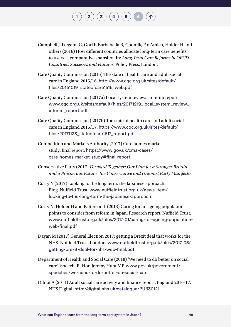#### Campbell J, Ikegami C, Gori F, Barbabella R, Chomik, F d'Amico, Holder H and others (2016) How different countries allocate long-term care benefits to users: a comparative snapshot. In: *Long-Term Care Reforms in OECD Countries: Successes and Failures*. Policy Press, London.

 $\mathbf{2} \left( \mathbf{2} \right) \left( \mathbf{3} \right) \left( \mathbf{4} \right) \left( \mathbf{5} \right)$  $\mathbf{2} \left( \mathbf{2} \right) \left( \mathbf{3} \right) \left( \mathbf{4} \right) \left( \mathbf{5} \right)$  $\mathbf{2} \left( \mathbf{2} \right) \left( \mathbf{3} \right) \left( \mathbf{4} \right) \left( \mathbf{5} \right)$  $\mathbf{2} \left( \mathbf{2} \right) \left( \mathbf{3} \right) \left( \mathbf{4} \right) \left( \mathbf{5} \right)$  $\mathbf{2} \left( \mathbf{2} \right) \left( \mathbf{3} \right) \left( \mathbf{4} \right) \left( \mathbf{5} \right)$  $\mathbf{2} \left( \mathbf{2} \right) \left( \mathbf{3} \right) \left( \mathbf{4} \right) \left( \mathbf{5} \right)$  $\mathbf{2} \left( \mathbf{2} \right) \left( \mathbf{3} \right) \left( \mathbf{4} \right) \left( \mathbf{5} \right)$  $\mathbf{2} \left( \mathbf{2} \right) \left( \mathbf{3} \right) \left( \mathbf{4} \right) \left( \mathbf{5} \right)$  $\mathbf{2} \left( \mathbf{2} \right) \left( \mathbf{3} \right) \left( \mathbf{4} \right) \left( \mathbf{5} \right)$ 

- Care Quality Commission (2016) The state of health care and adult social care in England 2015/16. [http://www.cqc.org.uk/sites/default/](http://www.cqc.org.uk/sites/default/files/20161019_stateofcare1516_web.pdf
) [files/20161019\\_stateofcare1516\\_web.pdf](http://www.cqc.org.uk/sites/default/files/20161019_stateofcare1516_web.pdf
)
- Care Quality Commission (2017a) Local system reviews: interim report. [www.cqc.org.uk/sites/default/files/20171219\\_local\\_system\\_review\\_](http://www.cqc.org.uk/sites/default/files/20171219_local_system_review_interim_report.pdf) [interim\\_report.pdf](http://www.cqc.org.uk/sites/default/files/20171219_local_system_review_interim_report.pdf)
- Care Quality Commission (2017b) The state of health care and adult social care in England 2016/17. [https://www.cqc.org.uk/sites/default/](https://www.cqc.org.uk/sites/default/files/20171123_stateofcare1617_report.pdf
) [files/20171123\\_stateofcare1617\\_report.pdf](https://www.cqc.org.uk/sites/default/files/20171123_stateofcare1617_report.pdf
)
- Competition and Markets Authority (2017) Care homes market study: final report. [https://www.gov.uk/cma-cases/](https://www.gov.uk/cma-cases/care-homes-market-study#final-report) [care-homes-market-study#final-report](https://www.gov.uk/cma-cases/care-homes-market-study#final-report)
- Conservative Party (2017) *Forward Together: Our Plan for a Stronger Britain and a Prosperous Future. The Conservative and Unionist Party Manifesto*.
- Curry N (2017) Looking to the long term: the Japanese approach. Blog, Nuffield Trust. [www.nuffieldtrust.org.uk/news-item/](http://www.nuffieldtrust.org.uk/news-item/looking-to-the-long-term-the-japanese-approach
) [looking-to-the-long-term-the-japanese-approach](http://www.nuffieldtrust.org.uk/news-item/looking-to-the-long-term-the-japanese-approach
)
- Curry N, Holder H and Patterson L (2013) Caring for an ageing population: points to consider from reform in Japan. Research report, Nuffield Trust. [www.nuffieldtrust.org.uk/files/2017-01/caring-for-ageing-population](http://www.nuffieldtrust.org.uk/files/2017-01/caring-for-ageing-population-web-final.pdf)[web-final.pdf](http://www.nuffieldtrust.org.uk/files/2017-01/caring-for-ageing-population-web-final.pdf)
- Dayan M (2017) General Election 2017: getting a Brexit deal that works for the NHS. Nuffield Trust, London. [www.nuffieldtrust.org.uk/files/2017-05/](http://www.nuffieldtrust.org.uk/files/2017-05/getting-brexit-deal-for-nhs-web-final.pdf
) [getting-brexit-deal-for-nhs-web-final.pdf](http://www.nuffieldtrust.org.uk/files/2017-05/getting-brexit-deal-for-nhs-web-final.pdf
)
- Department of Health and Social Care (2018) 'We need to do better on social care'. Speech, Rt Hon Jeremy Hunt MP. [www.gov.uk/government/](http://www.gov.uk/government/speeches/we-need-to-do-better-on-social-care ) [speeches/we-need-to-do-better-on-social-care](http://www.gov.uk/government/speeches/we-need-to-do-better-on-social-care )
- Dilnot A (2011) Adult social care activity and finance report, England 2016-17. NHS Digital. [http://digital.nhs.uk/catalogue/PUB30121](http://digital.nhs.uk/catalogue/PUB30121 )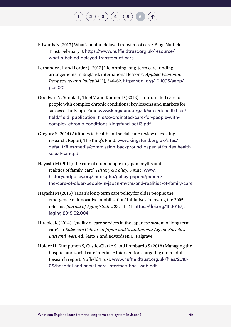Edwards N (2017) What's behind delayed transfers of care? Blog, Nuffield Trust. February 8. [https://www.nuffieldtrust.org.uk/resource/](https://www.nuffieldtrust.org.uk/resource/what-s-behind-delayed-transfers-of-care
) [what-s-behind-delayed-transfers-of-care](https://www.nuffieldtrust.org.uk/resource/what-s-behind-delayed-transfers-of-care
)

 $\binom{2}{\frac{3}{4}} \binom{4}{5}$  $\binom{2}{\frac{3}{4}} \binom{4}{5}$  $\binom{2}{\frac{3}{4}} \binom{4}{5}$  $\binom{2}{\frac{3}{4}} \binom{4}{5}$  $\binom{2}{\frac{3}{4}} \binom{4}{5}$  $\binom{2}{\frac{3}{4}} \binom{4}{5}$  $\binom{2}{\frac{3}{4}} \binom{4}{5}$  $\binom{2}{\frac{3}{4}} \binom{4}{5}$  $\binom{2}{\frac{3}{4}} \binom{4}{5}$ 

- Fernandez JL and Forder J (2012) 'Reforming long-term care funding arrangements in England: international lessons', *Applied Economic Perspectives and Policy* 34(2), 346–62. [https://doi.org/10.1093/aepp/](https://doi.org/10.1093/aepp/pps020 ) [pps020](https://doi.org/10.1093/aepp/pps020 )
- Goodwin N, Sonola L, Thiel V and Kodner D (2013) Co-ordinated care for people with complex chronic conditions: key lessons and markers for success. The King's Fund.[www.kingsfund.org.uk/sites/default/files/](http://www.kingsfund.org.uk/sites/default/files/field/field_publication_file/co-ordinated-care-for-people-with-complex-chronic-conditions-kingsfund-oct13.pdf
) [field/field\\_publication\\_file/co-ordinated-care-for-people-with](http://www.kingsfund.org.uk/sites/default/files/field/field_publication_file/co-ordinated-care-for-people-with-complex-chronic-conditions-kingsfund-oct13.pdf
)[complex-chronic-conditions-kingsfund-oct13.pdf](http://www.kingsfund.org.uk/sites/default/files/field/field_publication_file/co-ordinated-care-for-people-with-complex-chronic-conditions-kingsfund-oct13.pdf
)
- Gregory S (2014) Attitudes to health and social care: review of existing research. Report, The King's Fund. [www.kingsfund.org.uk/sites/](http://www.kingsfund.org.uk/sites/default/files/media/commission-background-paper-attitudes-health-social-care.pdf
) [default/files/media/commission-background-paper-attitudes-health](http://www.kingsfund.org.uk/sites/default/files/media/commission-background-paper-attitudes-health-social-care.pdf
)[social-care.pdf](http://www.kingsfund.org.uk/sites/default/files/media/commission-background-paper-attitudes-health-social-care.pdf
)
- Hayashi M (2011) The care of older people in Japan: myths and realities of family 'care'. *History & Policy,* 3 June. [www.](http://www.historyandpolicy.org/index.php/policy-papers/papers/the-care-of-older-people-in-japan-myths-and-realities-of-family-care
) [historyandpolicy.org/index.php/policy-papers/papers/](http://www.historyandpolicy.org/index.php/policy-papers/papers/the-care-of-older-people-in-japan-myths-and-realities-of-family-care
) [the-care-of-older-people-in-japan-myths-and-realities-of-family-care](http://www.historyandpolicy.org/index.php/policy-papers/papers/the-care-of-older-people-in-japan-myths-and-realities-of-family-care
)
- Hayashi M (2015) 'Japan's long-term care policy for older people: the emergence of innovative 'mobilisation' initiatives following the 2005 reforms. *Journal of Aging Studies* 33, 11–21. [https://doi.org/10.1016/j.](https://doi.org/10.1016/j.jaging.2015.02.004 ) [jaging.2015.02.004](https://doi.org/10.1016/j.jaging.2015.02.004 )
- Hiraoka K (2014) 'Quality of care services in the Japanese system of long term care', in *Eldercare Policies in Japan and Scandinavia: Ageing Societies East and West*, ed. Saito Y and Edvardsen U. Palgrave.
- Holder H, Kumpunen S, Castle-Clarke S and Lombardo S (2018) Managing the hospital and social care interface: interventions targeting older adults. Research report, Nuffield Trust. [www.nuffieldtrust.org.uk/files/2018-](http://www.nuffieldtrust.org.uk/files/2018-03/hospital-and-social-care-interface-final-web.pdf ) [03/hospital-and-social-care-interface-final-web.pdf](http://www.nuffieldtrust.org.uk/files/2018-03/hospital-and-social-care-interface-final-web.pdf )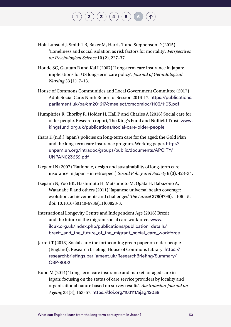#### Holt-Lunstad J, Smith TB, Baker M, Harris T and Stephenson D (2015) 'Loneliness and social isolation as risk factors for mortality', *Perspectives on Psychological Science* 10 (2), 227–37.

 $\mathbf{2} \left( \mathbf{2} \right) \left( \mathbf{3} \right) \left( \mathbf{4} \right) \left( \mathbf{5} \right)$  $\mathbf{2} \left( \mathbf{2} \right) \left( \mathbf{3} \right) \left( \mathbf{4} \right) \left( \mathbf{5} \right)$  $\mathbf{2} \left( \mathbf{2} \right) \left( \mathbf{3} \right) \left( \mathbf{4} \right) \left( \mathbf{5} \right)$  $\mathbf{2} \left( \mathbf{2} \right) \left( \mathbf{3} \right) \left( \mathbf{4} \right) \left( \mathbf{5} \right)$  $\mathbf{2} \left( \mathbf{2} \right) \left( \mathbf{3} \right) \left( \mathbf{4} \right) \left( \mathbf{5} \right)$  $\mathbf{2} \left( \mathbf{2} \right) \left( \mathbf{3} \right) \left( \mathbf{4} \right) \left( \mathbf{5} \right)$  $\mathbf{2} \left( \mathbf{2} \right) \left( \mathbf{3} \right) \left( \mathbf{4} \right) \left( \mathbf{5} \right)$  $\mathbf{2} \left( \mathbf{2} \right) \left( \mathbf{3} \right) \left( \mathbf{4} \right) \left( \mathbf{5} \right)$  $\mathbf{2} \left( \mathbf{2} \right) \left( \mathbf{3} \right) \left( \mathbf{4} \right) \left( \mathbf{5} \right)$ 

- Houde SC, Gautam R and Kai I (2007) 'Long-term care insurance in Japan: implications for US long-term care policy', *Journal of Gerontological Nursing* 33 (1), 7–13.
- House of Commons Communities and Local Government Committee (2017) Adult Social Care: Ninth Report of Session 2016-17. [https://publications.](https://publications.parliament.uk/pa/cm201617/cmselect/cmcomloc/1103/1103.pdf ) [parliament.uk/pa/cm201617/cmselect/cmcomloc/1103/1103.pdf](https://publications.parliament.uk/pa/cm201617/cmselect/cmcomloc/1103/1103.pdf )
- Humphries R, Thorlby R, Holder H, Hall P and Charles A (2016) Social care for older people. Research report, The King's Fund and Nuffield Trust. [www.](http://www.kingsfund.org.uk/publications/social-care-older-people
) [kingsfund.org.uk/publications/social-care-older-people](http://www.kingsfund.org.uk/publications/social-care-older-people
)
- Ihara K (n.d.) Japan's policies on long-term care for the aged: the Gold Plan and the long-term care insurance program. Working paper. [http://](http://unpan1.un.org/intradoc/groups/public/documents/APCITY/UNPAN023659.pdf ) [unpan1.un.org/intradoc/groups/public/documents/APCITY/](http://unpan1.un.org/intradoc/groups/public/documents/APCITY/UNPAN023659.pdf ) [UNPAN023659.pdf](http://unpan1.un.org/intradoc/groups/public/documents/APCITY/UNPAN023659.pdf )
- Ikegami N (2007) 'Rationale, design and sustainability of long-term care insurance in Japan – in retrospect', *Social Policy and Society* 6 (3), 423–34.
- Ikegami N, Yoo BK, Hashimoto H, Matsumoto M, Ogata H, Babazono A, Watanabe R and others (2011) 'Japanese universal health coverage: evolution, achievements and challenges' *The Lancet* 378(9796), 1106-15. doi: 10.1016/S0140-6736(11)60828-3.
- International Longevity Centre and Independent Age (2016) Brexit and the future of the migrant social care workforce. [www.](http://www.ilcuk.org.uk/index.php/publications/publication_details/brexit_and_the_future_of_the_migrant_social_care_workforce
) [ilcuk.org.uk/index.php/publications/publication\\_details/](http://www.ilcuk.org.uk/index.php/publications/publication_details/brexit_and_the_future_of_the_migrant_social_care_workforce
) [brexit\\_and\\_the\\_future\\_of\\_the\\_migrant\\_social\\_care\\_workforce](http://www.ilcuk.org.uk/index.php/publications/publication_details/brexit_and_the_future_of_the_migrant_social_care_workforce
)
- Jarrett T (2018) Social care: the forthcoming green paper on older people (England). Research briefing, House of Commons Library. [https://](https://researchbriefings.parliament.uk/ResearchBriefing/Summary/CBP-8002 ) [researchbriefings.parliament.uk/ResearchBriefing/Summary/](https://researchbriefings.parliament.uk/ResearchBriefing/Summary/CBP-8002 ) [CBP-8002](https://researchbriefings.parliament.uk/ResearchBriefing/Summary/CBP-8002 )
- Kubo M (2014) 'Long-term care insurance and market for aged care in Japan: focusing on the status of care service providers by locality and organisational nature based on survey results', *Australasian Journal on Ageing* 33 (3), 153–57. [https://doi.org/10.1111/ajag.12038](https://doi.org/10.1111/ajag.12038 )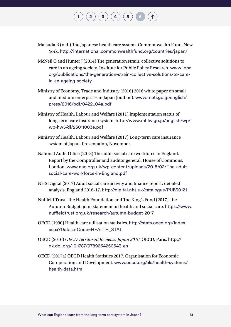Matsuda R (n.d.) The Japanese health care system. Commonwealth Fund, New York. [http://international.commonwealthfund.org/countries/japan/](http://international.commonwealthfund.org/countries/japan/ )

 $\left( \begin{array}{c} 2 \end{array} \right) \left( \begin{array}{c} 3 \end{array} \right) \left( \begin{array}{c} 4 \end{array} \right) \left( \begin{array}{c} 5 \end{array} \right)$  $\left( \begin{array}{c} 2 \end{array} \right) \left( \begin{array}{c} 3 \end{array} \right) \left( \begin{array}{c} 4 \end{array} \right) \left( \begin{array}{c} 5 \end{array} \right)$  $\left( \begin{array}{c} 2 \end{array} \right) \left( \begin{array}{c} 3 \end{array} \right) \left( \begin{array}{c} 4 \end{array} \right) \left( \begin{array}{c} 5 \end{array} \right)$  $\left( \begin{array}{c} 2 \end{array} \right) \left( \begin{array}{c} 3 \end{array} \right) \left( \begin{array}{c} 4 \end{array} \right) \left( \begin{array}{c} 5 \end{array} \right)$  $\left( \begin{array}{c} 2 \end{array} \right) \left( \begin{array}{c} 3 \end{array} \right) \left( \begin{array}{c} 4 \end{array} \right) \left( \begin{array}{c} 5 \end{array} \right)$  $\left( \begin{array}{c} 2 \end{array} \right) \left( \begin{array}{c} 3 \end{array} \right) \left( \begin{array}{c} 4 \end{array} \right) \left( \begin{array}{c} 5 \end{array} \right)$  $\left( \begin{array}{c} 2 \end{array} \right) \left( \begin{array}{c} 3 \end{array} \right) \left( \begin{array}{c} 4 \end{array} \right) \left( \begin{array}{c} 5 \end{array} \right)$  $\left( \begin{array}{c} 2 \end{array} \right) \left( \begin{array}{c} 3 \end{array} \right) \left( \begin{array}{c} 4 \end{array} \right) \left( \begin{array}{c} 5 \end{array} \right)$  $\left( \begin{array}{c} 2 \end{array} \right) \left( \begin{array}{c} 3 \end{array} \right) \left( \begin{array}{c} 4 \end{array} \right) \left( \begin{array}{c} 5 \end{array} \right)$ 

- McNeil C and Hunter J (2014) The generation strain: collective solutions to care in an ageing society. Institute for Public Policy Research. [www.ippr.](http://www.ippr.org/publications/the-generation-strain-collective-solutions-to-care-in-an-ageing-society ) [org/publications/the-generation-strain-collective-solutions-to-care](http://www.ippr.org/publications/the-generation-strain-collective-solutions-to-care-in-an-ageing-society )[in-an-ageing-society](http://www.ippr.org/publications/the-generation-strain-collective-solutions-to-care-in-an-ageing-society )
- Ministry of Economy, Trade and Industry (2016) 2016 white paper on small and medium enterprises in Japan (outline). [www.meti.go.jp/english/](http://www.meti.go.jp/english/press/2016/pdf/0422_04a.pdf ) [press/2016/pdf/0422\\_04a.pdf](http://www.meti.go.jp/english/press/2016/pdf/0422_04a.pdf )
- Ministry of Health, Labour and Welfare (2011) Implementation status of long-term care insurance system. [http://www.mhlw.go.jp/english/wp/](http://www.mhlw.go.jp/english/wp/wp-hw5/dl/23011003e.pdf ) [wp-hw5/dl/23011003e.pdf](http://www.mhlw.go.jp/english/wp/wp-hw5/dl/23011003e.pdf )
- Ministry of Health, Labour and Welfare (2017) Long-term care insurance system of Japan. Presentation, November.
- National Audit Office (2018) The adult social care workforce in England. Report by the Comptroller and auditor general, House of Commons, London. [www.nao.org.uk/wp-content/uploads/2018/02/The-adult](http://www.nao.org.uk/wp-content/uploads/2018/02/The-adult-social-care-workforce-in-England.pdf )[social-care-workforce-in-England.pdf](http://www.nao.org.uk/wp-content/uploads/2018/02/The-adult-social-care-workforce-in-England.pdf )
- NHS Digital (2017) Adult social care activity and finance report: detailed analysis, England 2016-17. [http://digital.nhs.uk/catalogue/PUB30121](http://digital.nhs.uk/catalogue/PUB30121 )
- Nuffield Trust, The Health Foundation and The King's Fund (2017) The Autumn Budget: joint statement on health and social care. [https://www.](https://www.nuffieldtrust.org.uk/research/autumn-budget-2017 ) [nuffieldtrust.org.uk/research/autumn-budget-2017](https://www.nuffieldtrust.org.uk/research/autumn-budget-2017 )
- [OECD \(1990\) Health care utilisation statistics.](https://www.nuffieldtrust.org.uk/research/autumn-budget-2017 ) http://stats.oecd.org/Index. [aspx?DatasetCode=HEALTH\\_STAT](https://www.nuffieldtrust.org.uk/research/autumn-budget-2017 )
- OECD (2016) *OECD Territorial Reviews: Japan 2016*. OECD, Paris. [http://](http://dx.doi.org/10.1787/9789264250543-en ) [dx.doi.org/10.1787/9789264250543-en](http://dx.doi.org/10.1787/9789264250543-en )
- OECD (2017a) OECD Health Statistics 2017. Organisation for Economic Co-operation and Development. [www.oecd.org/els/health-systems/](http://www.oecd.org/els/health-systems/health-data.htm ) [health-data.htm](http://www.oecd.org/els/health-systems/health-data.htm )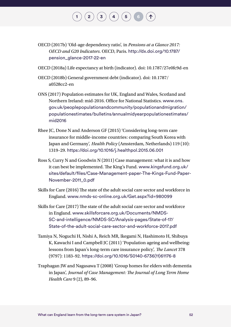OECD (2017b) 'Old-age dependency ratio', in *Pensions at a Glance 2017: OECD and G20 Indicators*. OECD, Paris. [http://dx.doi.org/10.1787/](http://dx.doi.org/10.1787/pension_glance-2017-22-en ) [pension\\_glance-2017-22-en](http://dx.doi.org/10.1787/pension_glance-2017-22-en )

 $\left( \begin{array}{c} 2 \end{array} \right) \left( \begin{array}{c} 3 \end{array} \right) \left( \begin{array}{c} 4 \end{array} \right) \left( \begin{array}{c} 5 \end{array} \right)$  $\left( \begin{array}{c} 2 \end{array} \right) \left( \begin{array}{c} 3 \end{array} \right) \left( \begin{array}{c} 4 \end{array} \right) \left( \begin{array}{c} 5 \end{array} \right)$  $\left( \begin{array}{c} 2 \end{array} \right) \left( \begin{array}{c} 3 \end{array} \right) \left( \begin{array}{c} 4 \end{array} \right) \left( \begin{array}{c} 5 \end{array} \right)$  $\left( \begin{array}{c} 2 \end{array} \right) \left( \begin{array}{c} 3 \end{array} \right) \left( \begin{array}{c} 4 \end{array} \right) \left( \begin{array}{c} 5 \end{array} \right)$  $\left( \begin{array}{c} 2 \end{array} \right) \left( \begin{array}{c} 3 \end{array} \right) \left( \begin{array}{c} 4 \end{array} \right) \left( \begin{array}{c} 5 \end{array} \right)$  $\left( \begin{array}{c} 2 \end{array} \right) \left( \begin{array}{c} 3 \end{array} \right) \left( \begin{array}{c} 4 \end{array} \right) \left( \begin{array}{c} 5 \end{array} \right)$  $\left( \begin{array}{c} 2 \end{array} \right) \left( \begin{array}{c} 3 \end{array} \right) \left( \begin{array}{c} 4 \end{array} \right) \left( \begin{array}{c} 5 \end{array} \right)$  $\left( \begin{array}{c} 2 \end{array} \right) \left( \begin{array}{c} 3 \end{array} \right) \left( \begin{array}{c} 4 \end{array} \right) \left( \begin{array}{c} 5 \end{array} \right)$  $\left( \begin{array}{c} 2 \end{array} \right) \left( \begin{array}{c} 3 \end{array} \right) \left( \begin{array}{c} 4 \end{array} \right) \left( \begin{array}{c} 5 \end{array} \right)$ 

- OECD (2018a) Life expectancy at birth (indicator). doi: 10.1787/27e0fc9d-en
- OECD (2018b) General government debt (indicator). doi: 10.1787/ a0528cc2-en
- ONS (2017) Population estimates for UK, England and Wales, Scotland and Northern Ireland: mid-2016. Office for National Statistics. [www.ons.](http://www.ons.gov.uk/peoplepopulationandcommunity/populationandmigration/populationestimates/bulletins/annualmidyearpopulationestimates/mid2016
) [gov.uk/peoplepopulationandcommunity/populationandmigration/](http://www.ons.gov.uk/peoplepopulationandcommunity/populationandmigration/populationestimates/bulletins/annualmidyearpopulationestimates/mid2016
) [populationestimates/bulletins/annualmidyearpopulationestimates/](http://www.ons.gov.uk/peoplepopulationandcommunity/populationandmigration/populationestimates/bulletins/annualmidyearpopulationestimates/mid2016
) [mid2016](http://www.ons.gov.uk/peoplepopulationandcommunity/populationandmigration/populationestimates/bulletins/annualmidyearpopulationestimates/mid2016
)
- Rhee JC, Done N and Anderson GF (2015) 'Considering long-term care insurance for middle-income countries: comparing South Korea with Japan and Germany', *Health Policy* (Amsterdam, Netherlands) 119 (10): 1319–29. [https://doi.org/10.1016/j.healthpol.2015.06.001](https://doi.org/10.1016/j.healthpol.2015.06.001
)
- Ross S, Curry N and Goodwin N (2011) Case management: what it is and how it can best be implemented. The King's Fund. [www.kingsfund.org.uk/](http://www.kingsfund.org.uk/sites/default/files/Case-Management-paper-The-Kings-Fund-Paper-November-2011_0.pdf
) [sites/default/files/Case-Management-paper-The-Kings-Fund-Paper-](http://www.kingsfund.org.uk/sites/default/files/Case-Management-paper-The-Kings-Fund-Paper-November-2011_0.pdf
)[November-2011\\_0.pdf](http://www.kingsfund.org.uk/sites/default/files/Case-Management-paper-The-Kings-Fund-Paper-November-2011_0.pdf
)
- Skills for Care (2016) The state of the adult social care sector and workforce in England. [www.nmds-sc-online.org.uk/Get.aspx?id=980099](http://www.nmds-sc-online.org.uk/Get.aspx?id=980099 )
- Skills for Care (2017) The state of the adult social care sector and workforce in England. [www.skillsforcare.org.uk/Documents/NMDS-](http://www.skillsforcare.org.uk/Documents/NMDS-SC-and-intelligence/NMDS-SC/Analysis-pages/State-of-17/State-of-the-adult-social-care-sector-and-workforce-2017.pdf
)[SC-and-intelligence/NMDS-SC/Analysis-pages/State-of-17/](http://www.skillsforcare.org.uk/Documents/NMDS-SC-and-intelligence/NMDS-SC/Analysis-pages/State-of-17/State-of-the-adult-social-care-sector-and-workforce-2017.pdf
) [State-of-the-adult-social-care-sector-and-workforce-2017.pdf](http://www.skillsforcare.org.uk/Documents/NMDS-SC-and-intelligence/NMDS-SC/Analysis-pages/State-of-17/State-of-the-adult-social-care-sector-and-workforce-2017.pdf
)
- Tamiya N, Noguchi H, Nishi A, Reich MR, Ikegami N, Hashimoto H, Shibuya K, Kawachi I and Campbell JC (2011) 'Population ageing and wellbeing: lessons from Japan's long-term care insurance policy', *The Lancet* 378 (9797): 1183–92. [https://doi.org/10.1016/S0140-6736\(11\)61176-8](https://doi.org/10.1016/S0140-6736(11)61176-8 )
- Traphagan JW and Nagasawa T (2008) 'Group homes for elders with dementia in Japan', *Journal of Case Management: The Journal of Long Term Home Health Care* 9 (2), 89–96.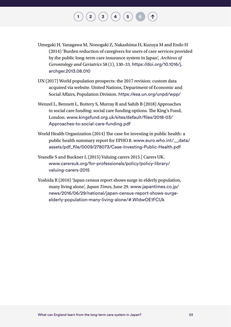Umegaki H, Yanagawa M, Nonogaki Z, Nakashima H, Kuzuya M and Endo H (2014) 'Burden reduction of caregivers for users of care services provided by the public long-term care insurance system in Japan', *Archives of Gerontology and Geriatrics* 58 (1), 130–33. [https://doi.org/10.1016/j.](https://doi.org/10.1016/j.archger.2013.08.010 ) [archger.2013.08.010](https://doi.org/10.1016/j.archger.2013.08.010 )

 $\binom{2}{\phantom{1}}\binom{3}{\phantom{1}}\binom{4}{\phantom{1}}\binom{5}{\phantom{1}}$  $\binom{2}{\phantom{1}}\binom{3}{\phantom{1}}\binom{4}{\phantom{1}}\binom{5}{\phantom{1}}$  $\binom{2}{\phantom{1}}\binom{3}{\phantom{1}}\binom{4}{\phantom{1}}\binom{5}{\phantom{1}}$  $\binom{2}{\phantom{1}}\binom{3}{\phantom{1}}\binom{4}{\phantom{1}}\binom{5}{\phantom{1}}$  $\binom{2}{\phantom{1}}\binom{3}{\phantom{1}}\binom{4}{\phantom{1}}\binom{5}{\phantom{1}}$  $\binom{2}{\phantom{1}}\binom{3}{\phantom{1}}\binom{4}{\phantom{1}}\binom{5}{\phantom{1}}$  $\binom{2}{\phantom{1}}\binom{3}{\phantom{1}}\binom{4}{\phantom{1}}\binom{5}{\phantom{1}}$  $\binom{2}{\phantom{1}}\binom{3}{\phantom{1}}\binom{4}{\phantom{1}}\binom{5}{\phantom{1}}$  $\binom{2}{\phantom{1}}\binom{3}{\phantom{1}}\binom{4}{\phantom{1}}\binom{5}{\phantom{1}}$ 

- UN (2017) World population prospects: the 2017 revision: custom data acquired via website. United Nations, Department of Economic and Social Affairs, Population Division. [https://esa.un.org/unpd/wpp/](https://esa.un.org/unpd/wpp/ )
- Wenzel L, Bennett L, Bottery S, Murray R and Sahib B (2018) Approaches to social care funding: social care funding options. The King's Fund, London. [www.kingsfund.org.uk/sites/default/files/2018-03/](http://www.kingsfund.org.uk/sites/default/files/2018-03/Approaches-to-social-care-funding.pdf ) [Approaches-to-social-care-funding.pdf](http://www.kingsfund.org.uk/sites/default/files/2018-03/Approaches-to-social-care-funding.pdf )
- World Health Organization (2014) The case for investing in public health: a public health summary report for EPHO 8. [www.euro.who.int/\\_\\_data/](http://www.euro.who.int/__data/assets/pdf_file/0009/278073/Case-Investing-Public-Health.pdf ) [assets/pdf\\_file/0009/278073/Case-Investing-Public-Health.pdf](http://www.euro.who.int/__data/assets/pdf_file/0009/278073/Case-Investing-Public-Health.pdf )
- Yeandle S and Buckner L (2015) Valuing carers 2015. Carers UK. [www.carersuk.org/for-professionals/policy/policy-library/](http://www.carersuk.org/for-professionals/policy/policy-library/valuing-carers-2015 ) [valuing-carers-2015](http://www.carersuk.org/for-professionals/policy/policy-library/valuing-carers-2015 )
- Yoshida R (2016) 'Japan census report shows surge in elderly population, many living alone', *Japan Times*, June 29. [www.japantimes.co.jp/](http://www.japantimes.co.jp/news/2016/06/29/national/japan-census-report-shows-surge-elderly-population-many-living-alone/#.WldwOE1FCUk) [news/2016/06/29/national/japan-census-report-shows-surge](http://www.japantimes.co.jp/news/2016/06/29/national/japan-census-report-shows-surge-elderly-population-many-living-alone/#.WldwOE1FCUk)[elderly-population-many-living-alone/#.WldwOE1FCUk](http://www.japantimes.co.jp/news/2016/06/29/national/japan-census-report-shows-surge-elderly-population-many-living-alone/#.WldwOE1FCUk)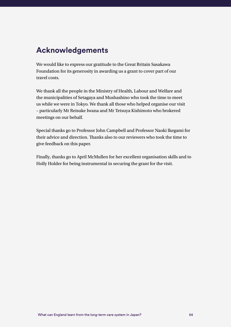### **Acknowledgements**

We would like to express our gratitude to the Great Britain Sasakawa Foundation for its generosity in awarding us a grant to cover part of our travel costs.

We thank all the people in the Ministry of Health, Labour and Welfare and the municipalities of Setagaya and Mushashino who took the time to meet us while we were in Tokyo. We thank all those who helped organise our visit – particularly Mr Reisuke Iwana and Mr Tetsuya Kishimoto who brokered meetings on our behalf.

Special thanks go to Professor John Campbell and Professor Naoki Ikegami for their advice and direction. Thanks also to our reviewers who took the time to give feedback on this paper.

Finally, thanks go to April McMullen for her excellent organisation skills and to Holly Holder for being instrumental in securing the grant for the visit.